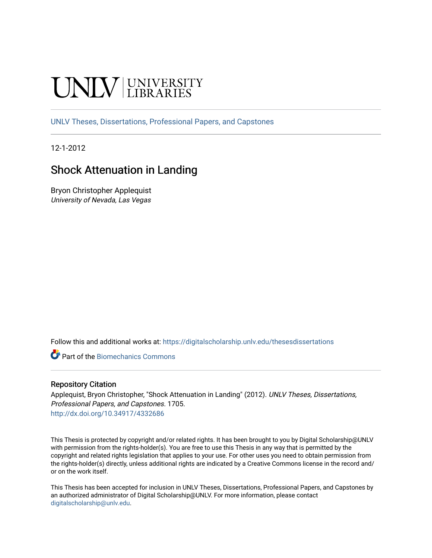# **INIVERSITY**

[UNLV Theses, Dissertations, Professional Papers, and Capstones](https://digitalscholarship.unlv.edu/thesesdissertations)

12-1-2012

## Shock Attenuation in Landing

Bryon Christopher Applequist University of Nevada, Las Vegas

Follow this and additional works at: [https://digitalscholarship.unlv.edu/thesesdissertations](https://digitalscholarship.unlv.edu/thesesdissertations?utm_source=digitalscholarship.unlv.edu%2Fthesesdissertations%2F1705&utm_medium=PDF&utm_campaign=PDFCoverPages)

Part of the [Biomechanics Commons](http://network.bepress.com/hgg/discipline/43?utm_source=digitalscholarship.unlv.edu%2Fthesesdissertations%2F1705&utm_medium=PDF&utm_campaign=PDFCoverPages) 

#### Repository Citation

Applequist, Bryon Christopher, "Shock Attenuation in Landing" (2012). UNLV Theses, Dissertations, Professional Papers, and Capstones. 1705. <http://dx.doi.org/10.34917/4332686>

This Thesis is protected by copyright and/or related rights. It has been brought to you by Digital Scholarship@UNLV with permission from the rights-holder(s). You are free to use this Thesis in any way that is permitted by the copyright and related rights legislation that applies to your use. For other uses you need to obtain permission from the rights-holder(s) directly, unless additional rights are indicated by a Creative Commons license in the record and/ or on the work itself.

This Thesis has been accepted for inclusion in UNLV Theses, Dissertations, Professional Papers, and Capstones by an authorized administrator of Digital Scholarship@UNLV. For more information, please contact [digitalscholarship@unlv.edu](mailto:digitalscholarship@unlv.edu).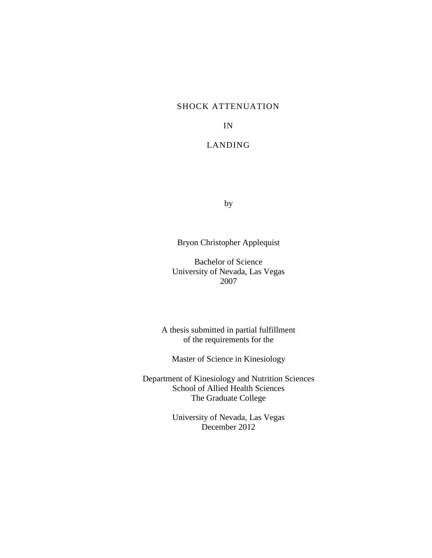#### SHOCK ATTENUATION

#### IN

#### LANDING

by

Bryon Christopher Applequist

Bachelor of Science University of Nevada, Las Vegas 2007

A thesis submitted in partial fulfillment of the requirements for the

Master of Science in Kinesiology

Department of Kinesiology and Nutrition Sciences School of Allied Health Sciences The Graduate College

> University of Nevada, Las Vegas December 2012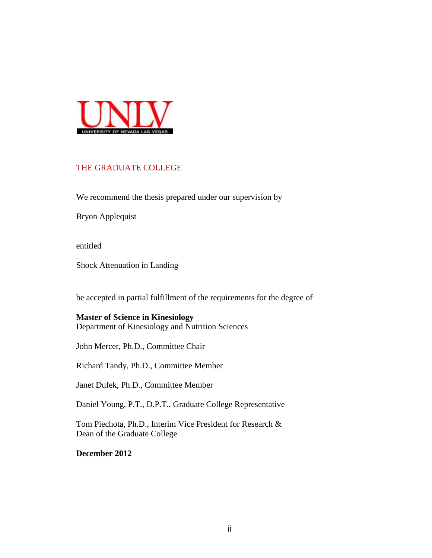

#### THE GRADUATE COLLEGE

We recommend the thesis prepared under our supervision by

Bryon Applequist

entitled

Shock Attenuation in Landing

be accepted in partial fulfillment of the requirements for the degree of

#### **Master of Science in Kinesiology** Department of Kinesiology and Nutrition Sciences

John Mercer, Ph.D., Committee Chair

Richard Tandy, Ph.D., Committee Member

Janet Dufek, Ph.D., Committee Member

Daniel Young, P.T., D.P.T., Graduate College Representative

Tom Piechota, Ph.D., Interim Vice President for Research & Dean of the Graduate College

**December 2012**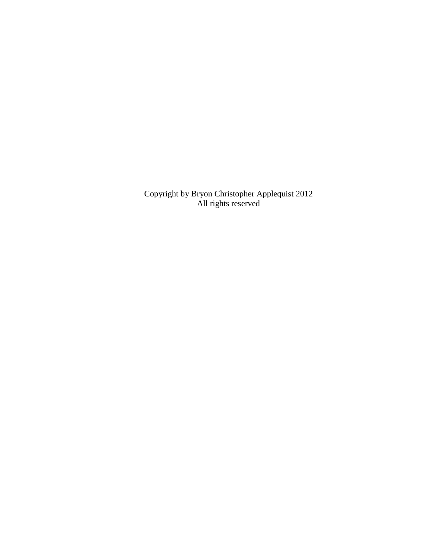Copyright by Bryon Christopher Applequist 2012 All rights reserved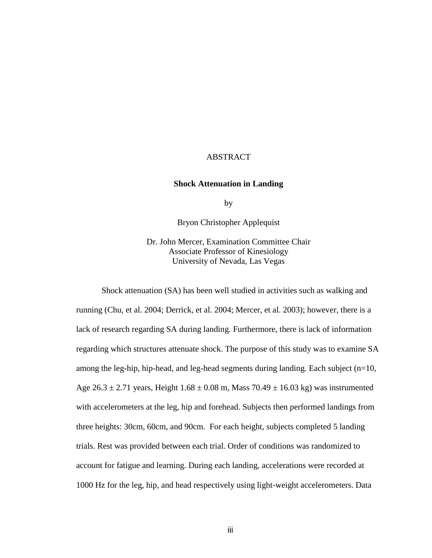#### ABSTRACT

#### **Shock Attenuation in Landing**

by

Bryon Christopher Applequist

Dr. John Mercer, Examination Committee Chair Associate Professor of Kinesiology University of Nevada, Las Vegas

Shock attenuation (SA) has been well studied in activities such as walking and running (Chu, et al. 2004; Derrick, et al. 2004; Mercer, et al. 2003); however, there is a lack of research regarding SA during landing. Furthermore, there is lack of information regarding which structures attenuate shock. The purpose of this study was to examine SA among the leg-hip, hip-head, and leg-head segments during landing. Each subject (n=10, Age  $26.3 \pm 2.71$  years, Height  $1.68 \pm 0.08$  m, Mass  $70.49 \pm 16.03$  kg) was instrumented with accelerometers at the leg, hip and forehead. Subjects then performed landings from three heights: 30cm, 60cm, and 90cm. For each height, subjects completed 5 landing trials. Rest was provided between each trial. Order of conditions was randomized to account for fatigue and learning. During each landing, accelerations were recorded at 1000 Hz for the leg, hip, and head respectively using light-weight accelerometers. Data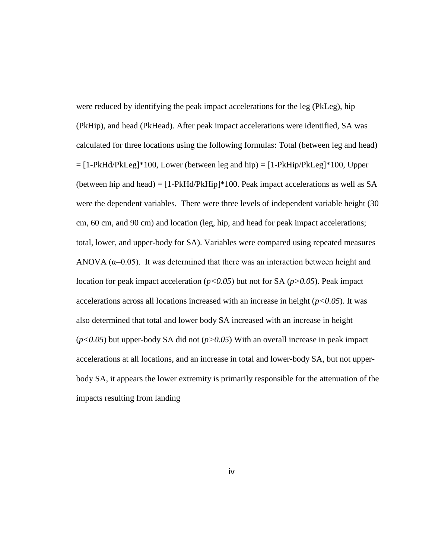were reduced by identifying the peak impact accelerations for the leg (PkLeg), hip (PkHip), and head (PkHead). After peak impact accelerations were identified, SA was calculated for three locations using the following formulas: Total (between leg and head)  $=[1-PkHd/PkLeg]*100$ , Lower (between leg and hip)  $=[1-PkHip/PkLeg]*100$ , Upper (between hip and head) =  $[1-PkHd/PkHip]*100$ . Peak impact accelerations as well as SA were the dependent variables. There were three levels of independent variable height (30 cm, 60 cm, and 90 cm) and location (leg, hip, and head for peak impact accelerations; total, lower, and upper-body for SA). Variables were compared using repeated measures ANOVA ( $\alpha$ =0.05). It was determined that there was an interaction between height and location for peak impact acceleration (*p<0.05*) but not for SA (*p>0.05*). Peak impact accelerations across all locations increased with an increase in height (*p<0.05*). It was also determined that total and lower body SA increased with an increase in height (*p<0.05*) but upper-body SA did not (*p>0.05*) With an overall increase in peak impact accelerations at all locations, and an increase in total and lower-body SA, but not upperbody SA, it appears the lower extremity is primarily responsible for the attenuation of the impacts resulting from landing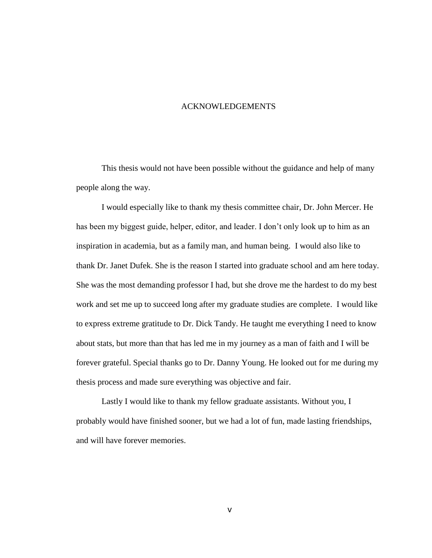#### ACKNOWLEDGEMENTS

This thesis would not have been possible without the guidance and help of many people along the way.

I would especially like to thank my thesis committee chair, Dr. John Mercer. He has been my biggest guide, helper, editor, and leader. I don"t only look up to him as an inspiration in academia, but as a family man, and human being. I would also like to thank Dr. Janet Dufek. She is the reason I started into graduate school and am here today. She was the most demanding professor I had, but she drove me the hardest to do my best work and set me up to succeed long after my graduate studies are complete. I would like to express extreme gratitude to Dr. Dick Tandy. He taught me everything I need to know about stats, but more than that has led me in my journey as a man of faith and I will be forever grateful. Special thanks go to Dr. Danny Young. He looked out for me during my thesis process and made sure everything was objective and fair.

Lastly I would like to thank my fellow graduate assistants. Without you, I probably would have finished sooner, but we had a lot of fun, made lasting friendships, and will have forever memories.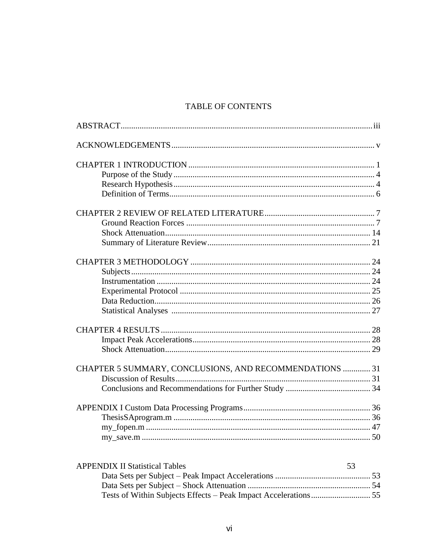## TABLE OF CONTENTS

| CHAPTER 5 SUMMARY, CONCLUSIONS, AND RECOMMENDATIONS  31                                  |    |    |
|------------------------------------------------------------------------------------------|----|----|
|                                                                                          |    |    |
|                                                                                          |    |    |
|                                                                                          |    |    |
|                                                                                          |    |    |
|                                                                                          |    |    |
|                                                                                          |    |    |
|                                                                                          |    |    |
| <b>APPENDIX II Statistical Tables</b><br>Data Sata par Subject Dook Innect Accelerations | 53 | 52 |

| <u>t Li Ditte it buddhedi tubled</u> |  |
|--------------------------------------|--|
|                                      |  |
|                                      |  |
|                                      |  |
|                                      |  |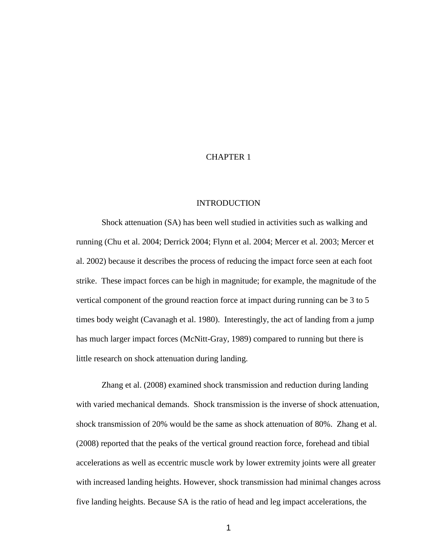#### CHAPTER 1

#### **INTRODUCTION**

Shock attenuation (SA) has been well studied in activities such as walking and running (Chu et al. 2004; Derrick 2004; Flynn et al. 2004; Mercer et al. 2003; Mercer et al. 2002) because it describes the process of reducing the impact force seen at each foot strike. These impact forces can be high in magnitude; for example, the magnitude of the vertical component of the ground reaction force at impact during running can be 3 to 5 times body weight (Cavanagh et al. 1980). Interestingly, the act of landing from a jump has much larger impact forces (McNitt-Gray, 1989) compared to running but there is little research on shock attenuation during landing.

Zhang et al. (2008) examined shock transmission and reduction during landing with varied mechanical demands. Shock transmission is the inverse of shock attenuation, shock transmission of 20% would be the same as shock attenuation of 80%. Zhang et al. (2008) reported that the peaks of the vertical ground reaction force, forehead and tibial accelerations as well as eccentric muscle work by lower extremity joints were all greater with increased landing heights. However, shock transmission had minimal changes across five landing heights. Because SA is the ratio of head and leg impact accelerations, the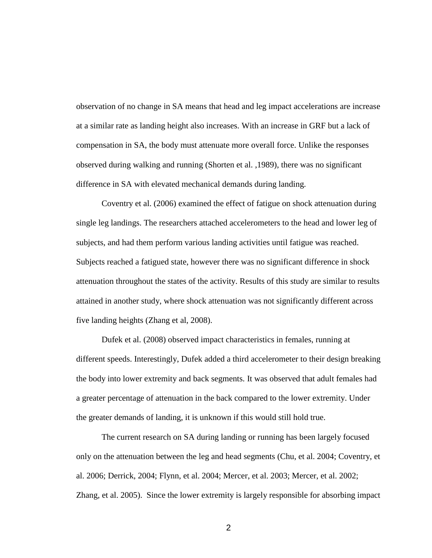observation of no change in SA means that head and leg impact accelerations are increase at a similar rate as landing height also increases. With an increase in GRF but a lack of compensation in SA, the body must attenuate more overall force. Unlike the responses observed during walking and running (Shorten et al. ,1989), there was no significant difference in SA with elevated mechanical demands during landing.

Coventry et al. (2006) examined the effect of fatigue on shock attenuation during single leg landings. The researchers attached accelerometers to the head and lower leg of subjects, and had them perform various landing activities until fatigue was reached. Subjects reached a fatigued state, however there was no significant difference in shock attenuation throughout the states of the activity. Results of this study are similar to results attained in another study, where shock attenuation was not significantly different across five landing heights (Zhang et al, 2008).

Dufek et al. (2008) observed impact characteristics in females, running at different speeds. Interestingly, Dufek added a third accelerometer to their design breaking the body into lower extremity and back segments. It was observed that adult females had a greater percentage of attenuation in the back compared to the lower extremity. Under the greater demands of landing, it is unknown if this would still hold true.

The current research on SA during landing or running has been largely focused only on the attenuation between the leg and head segments (Chu, et al. 2004; Coventry, et al. 2006; Derrick, 2004; Flynn, et al. 2004; Mercer, et al. 2003; Mercer, et al. 2002; Zhang, et al. 2005). Since the lower extremity is largely responsible for absorbing impact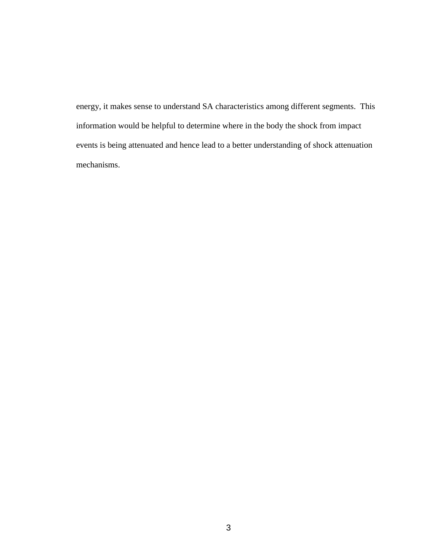energy, it makes sense to understand SA characteristics among different segments. This information would be helpful to determine where in the body the shock from impact events is being attenuated and hence lead to a better understanding of shock attenuation mechanisms.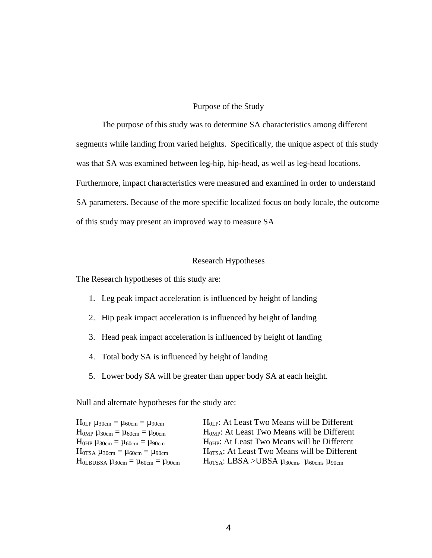#### Purpose of the Study

The purpose of this study was to determine SA characteristics among different segments while landing from varied heights. Specifically, the unique aspect of this study was that SA was examined between leg-hip, hip-head, as well as leg-head locations. Furthermore, impact characteristics were measured and examined in order to understand SA parameters. Because of the more specific localized focus on body locale, the outcome of this study may present an improved way to measure SA

#### Research Hypotheses

The Research hypotheses of this study are:

- 1. Leg peak impact acceleration is influenced by height of landing
- 2. Hip peak impact acceleration is influenced by height of landing
- 3. Head peak impact acceleration is influenced by height of landing
- 4. Total body SA is influenced by height of landing
- 5. Lower body SA will be greater than upper body SA at each height.

Null and alternate hypotheses for the study are:

| $H_{0LP} \mu_{30cm} = \mu_{60cm} = \mu_{90cm}$     | $H0LP$ : At Least Two Means will be Different                      |
|----------------------------------------------------|--------------------------------------------------------------------|
| $H_{0MP} \mu_{30cm} = \mu_{60cm} = \mu_{90cm}$     | $HOMP: At Least Two Means will be Different$                       |
| $H_{0HP} \mu_{30cm} = \mu_{60cm} = \mu_{90cm}$     | $H0HP$ : At Least Two Means will be Different                      |
| $H_{0TSA} \mu_{30cm} = \mu_{60cm} = \mu_{90cm}$    | $H_{0TSA}$ : At Least Two Means will be Different                  |
| $H_{0LBUBSA} \mu_{30cm} = \mu_{60cm} = \mu_{90cm}$ | $H_{0TSA}$ : LBSA >UBSA $\mu_{30cm}$ , $\mu_{60cm}$ , $\mu_{90cm}$ |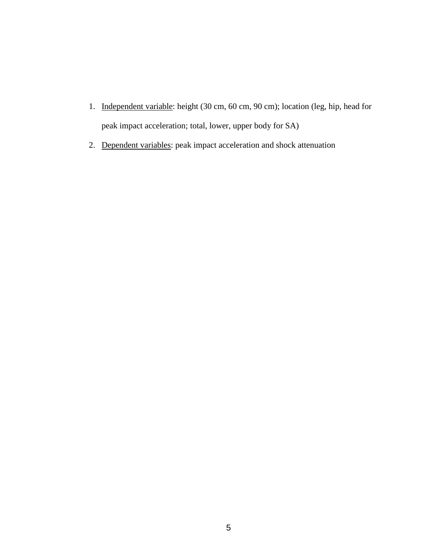- 1. Independent variable: height (30 cm, 60 cm, 90 cm); location (leg, hip, head for peak impact acceleration; total, lower, upper body for SA)
- 2. Dependent variables: peak impact acceleration and shock attenuation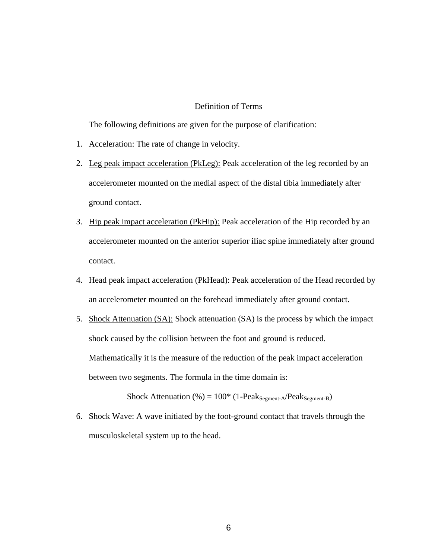#### Definition of Terms

The following definitions are given for the purpose of clarification:

- 1. Acceleration: The rate of change in velocity.
- 2. Leg peak impact acceleration (PkLeg): Peak acceleration of the leg recorded by an accelerometer mounted on the medial aspect of the distal tibia immediately after ground contact.
- 3. Hip peak impact acceleration (PkHip): Peak acceleration of the Hip recorded by an accelerometer mounted on the anterior superior iliac spine immediately after ground contact.
- 4. Head peak impact acceleration (PkHead): Peak acceleration of the Head recorded by an accelerometer mounted on the forehead immediately after ground contact.
- 5. Shock Attenuation (SA): Shock attenuation (SA) is the process by which the impact shock caused by the collision between the foot and ground is reduced. Mathematically it is the measure of the reduction of the peak impact acceleration between two segments. The formula in the time domain is:

Shock Attenuation  $(\%) = 100^*$  (1-Peak Segment-A/Peak Segment-B)

6. Shock Wave: A wave initiated by the foot-ground contact that travels through the musculoskeletal system up to the head.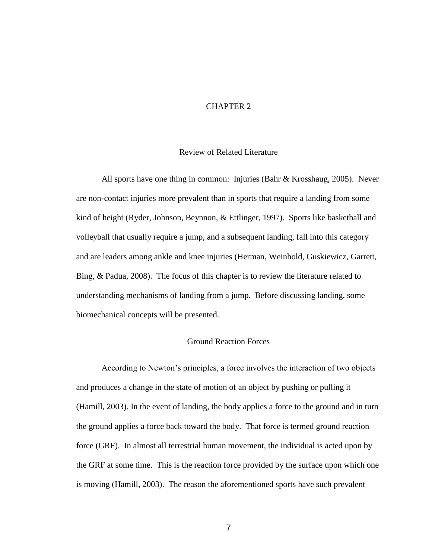#### CHAPTER 2

#### Review of Related Literature

All sports have one thing in common: Injuries (Bahr & Krosshaug, 2005). Never are non-contact injuries more prevalent than in sports that require a landing from some kind of height (Ryder, Johnson, Beynnon, & Ettlinger, 1997). Sports like basketball and volleyball that usually require a jump, and a subsequent landing, fall into this category and are leaders among ankle and knee injuries (Herman, Weinhold, Guskiewicz, Garrett, Bing, & Padua, 2008). The focus of this chapter is to review the literature related to understanding mechanisms of landing from a jump. Before discussing landing, some biomechanical concepts will be presented.

#### Ground Reaction Forces

According to Newton"s principles, a force involves the interaction of two objects and produces a change in the state of motion of an object by pushing or pulling it (Hamill, 2003). In the event of landing, the body applies a force to the ground and in turn the ground applies a force back toward the body. That force is termed ground reaction force (GRF). In almost all terrestrial human movement, the individual is acted upon by the GRF at some time. This is the reaction force provided by the surface upon which one is moving (Hamill, 2003). The reason the aforementioned sports have such prevalent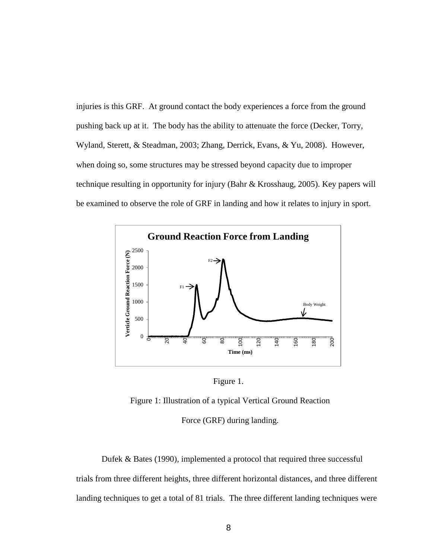injuries is this GRF. At ground contact the body experiences a force from the ground pushing back up at it. The body has the ability to attenuate the force (Decker, Torry, Wyland, Sterett, & Steadman, 2003; Zhang, Derrick, Evans, & Yu, 2008). However, when doing so, some structures may be stressed beyond capacity due to improper technique resulting in opportunity for injury (Bahr & Krosshaug, 2005). Key papers will be examined to observe the role of GRF in landing and how it relates to injury in sport.



Figure 1.

Figure 1: Illustration of a typical Vertical Ground Reaction

Force (GRF) during landing.

Dufek & Bates (1990), implemented a protocol that required three successful trials from three different heights, three different horizontal distances, and three different landing techniques to get a total of 81 trials. The three different landing techniques were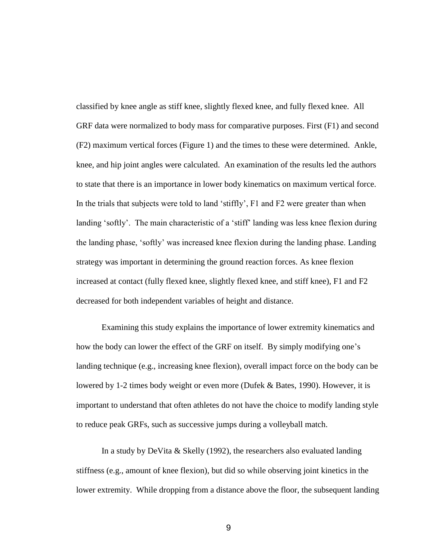classified by knee angle as stiff knee, slightly flexed knee, and fully flexed knee. All GRF data were normalized to body mass for comparative purposes. First (F1) and second (F2) maximum vertical forces (Figure 1) and the times to these were determined. Ankle, knee, and hip joint angles were calculated. An examination of the results led the authors to state that there is an importance in lower body kinematics on maximum vertical force. In the trials that subjects were told to land "stiffly", F1 and F2 were greater than when landing 'softly'. The main characteristic of a 'stiff' landing was less knee flexion during the landing phase, "softly" was increased knee flexion during the landing phase. Landing strategy was important in determining the ground reaction forces. As knee flexion increased at contact (fully flexed knee, slightly flexed knee, and stiff knee), F1 and F2 decreased for both independent variables of height and distance.

Examining this study explains the importance of lower extremity kinematics and how the body can lower the effect of the GRF on itself. By simply modifying one's landing technique (e.g., increasing knee flexion), overall impact force on the body can be lowered by 1-2 times body weight or even more (Dufek & Bates, 1990). However, it is important to understand that often athletes do not have the choice to modify landing style to reduce peak GRFs, such as successive jumps during a volleyball match.

In a study by DeVita & Skelly (1992), the researchers also evaluated landing stiffness (e.g., amount of knee flexion), but did so while observing joint kinetics in the lower extremity. While dropping from a distance above the floor, the subsequent landing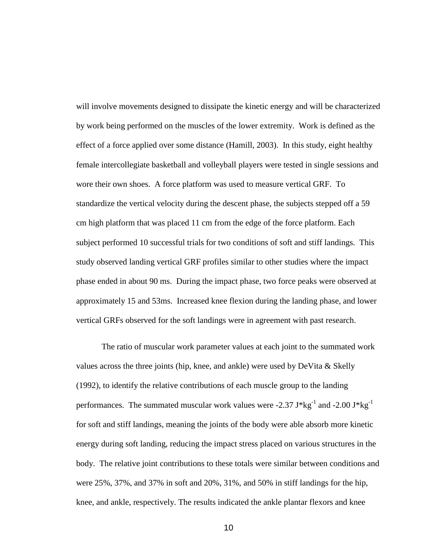will involve movements designed to dissipate the kinetic energy and will be characterized by work being performed on the muscles of the lower extremity. Work is defined as the effect of a force applied over some distance (Hamill, 2003). In this study, eight healthy female intercollegiate basketball and volleyball players were tested in single sessions and wore their own shoes. A force platform was used to measure vertical GRF. To standardize the vertical velocity during the descent phase, the subjects stepped off a 59 cm high platform that was placed 11 cm from the edge of the force platform. Each subject performed 10 successful trials for two conditions of soft and stiff landings. This study observed landing vertical GRF profiles similar to other studies where the impact phase ended in about 90 ms. During the impact phase, two force peaks were observed at approximately 15 and 53ms. Increased knee flexion during the landing phase, and lower vertical GRFs observed for the soft landings were in agreement with past research.

The ratio of muscular work parameter values at each joint to the summated work values across the three joints (hip, knee, and ankle) were used by DeVita & Skelly (1992), to identify the relative contributions of each muscle group to the landing performances. The summated muscular work values were -2.37  $J*kg^{-1}$  and -2.00  $J*kg^{-1}$ for soft and stiff landings, meaning the joints of the body were able absorb more kinetic energy during soft landing, reducing the impact stress placed on various structures in the body. The relative joint contributions to these totals were similar between conditions and were 25%, 37%, and 37% in soft and 20%, 31%, and 50% in stiff landings for the hip, knee, and ankle, respectively. The results indicated the ankle plantar flexors and knee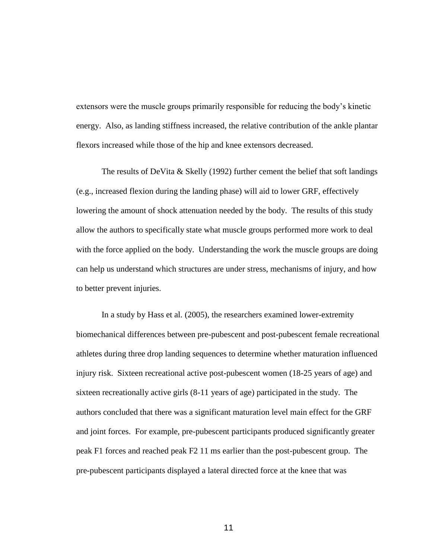extensors were the muscle groups primarily responsible for reducing the body"s kinetic energy. Also, as landing stiffness increased, the relative contribution of the ankle plantar flexors increased while those of the hip and knee extensors decreased.

The results of DeVita  $&$  Skelly (1992) further cement the belief that soft landings (e.g., increased flexion during the landing phase) will aid to lower GRF, effectively lowering the amount of shock attenuation needed by the body. The results of this study allow the authors to specifically state what muscle groups performed more work to deal with the force applied on the body. Understanding the work the muscle groups are doing can help us understand which structures are under stress, mechanisms of injury, and how to better prevent injuries.

In a study by Hass et al. (2005), the researchers examined lower-extremity biomechanical differences between pre-pubescent and post-pubescent female recreational athletes during three drop landing sequences to determine whether maturation influenced injury risk. Sixteen recreational active post-pubescent women (18-25 years of age) and sixteen recreationally active girls (8-11 years of age) participated in the study. The authors concluded that there was a significant maturation level main effect for the GRF and joint forces. For example, pre-pubescent participants produced significantly greater peak F1 forces and reached peak F2 11 ms earlier than the post-pubescent group. The pre-pubescent participants displayed a lateral directed force at the knee that was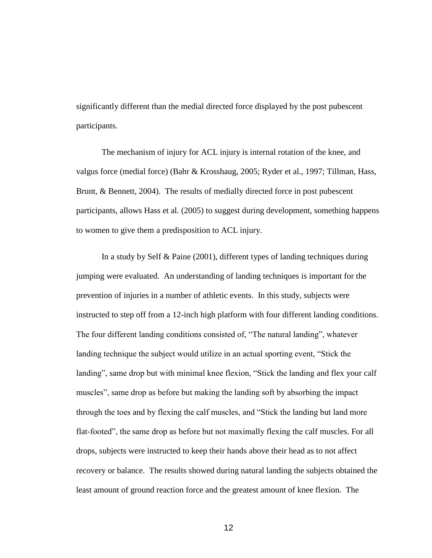significantly different than the medial directed force displayed by the post pubescent participants.

The mechanism of injury for ACL injury is internal rotation of the knee, and valgus force (medial force) (Bahr & Krosshaug, 2005; Ryder et al., 1997; Tillman, Hass, Brunt, & Bennett, 2004). The results of medially directed force in post pubescent participants, allows Hass et al. (2005) to suggest during development, something happens to women to give them a predisposition to ACL injury.

In a study by Self & Paine (2001), different types of landing techniques during jumping were evaluated. An understanding of landing techniques is important for the prevention of injuries in a number of athletic events. In this study, subjects were instructed to step off from a 12-inch high platform with four different landing conditions. The four different landing conditions consisted of, "The natural landing", whatever landing technique the subject would utilize in an actual sporting event, "Stick the landing", same drop but with minimal knee flexion, "Stick the landing and flex your calf muscles", same drop as before but making the landing soft by absorbing the impact through the toes and by flexing the calf muscles, and "Stick the landing but land more flat-footed", the same drop as before but not maximally flexing the calf muscles. For all drops, subjects were instructed to keep their hands above their head as to not affect recovery or balance. The results showed during natural landing the subjects obtained the least amount of ground reaction force and the greatest amount of knee flexion. The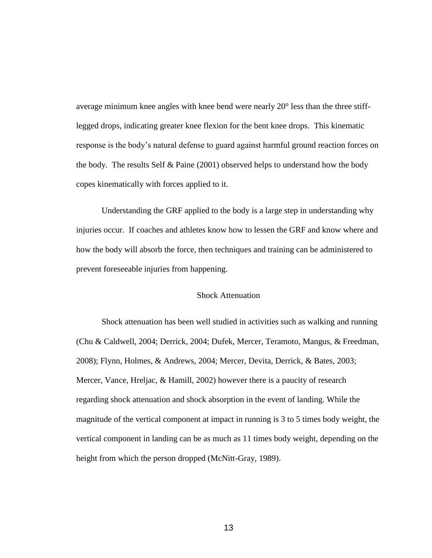average minimum knee angles with knee bend were nearly 20° less than the three stifflegged drops, indicating greater knee flexion for the bent knee drops. This kinematic response is the body"s natural defense to guard against harmful ground reaction forces on the body. The results Self & Paine (2001) observed helps to understand how the body copes kinematically with forces applied to it.

Understanding the GRF applied to the body is a large step in understanding why injuries occur. If coaches and athletes know how to lessen the GRF and know where and how the body will absorb the force, then techniques and training can be administered to prevent foreseeable injuries from happening.

#### Shock Attenuation

Shock attenuation has been well studied in activities such as walking and running (Chu & Caldwell, 2004; Derrick, 2004; Dufek, Mercer, Teramoto, Mangus, & Freedman, 2008); Flynn, Holmes, & Andrews, 2004; Mercer, Devita, Derrick, & Bates, 2003; Mercer, Vance, Hreljac, & Hamill, 2002) however there is a paucity of research regarding shock attenuation and shock absorption in the event of landing. While the magnitude of the vertical component at impact in running is 3 to 5 times body weight, the vertical component in landing can be as much as 11 times body weight, depending on the height from which the person dropped (McNitt-Gray, 1989).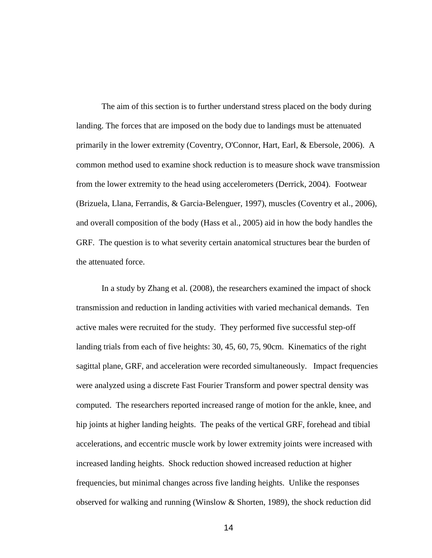The aim of this section is to further understand stress placed on the body during landing. The forces that are imposed on the body due to landings must be attenuated primarily in the lower extremity (Coventry, O'Connor, Hart, Earl, & Ebersole, 2006). A common method used to examine shock reduction is to measure shock wave transmission from the lower extremity to the head using accelerometers (Derrick, 2004). Footwear (Brizuela, Llana, Ferrandis, & Garcia-Belenguer, 1997), muscles (Coventry et al., 2006), and overall composition of the body (Hass et al., 2005) aid in how the body handles the GRF. The question is to what severity certain anatomical structures bear the burden of the attenuated force.

In a study by Zhang et al. (2008), the researchers examined the impact of shock transmission and reduction in landing activities with varied mechanical demands. Ten active males were recruited for the study. They performed five successful step-off landing trials from each of five heights: 30, 45, 60, 75, 90cm. Kinematics of the right sagittal plane, GRF, and acceleration were recorded simultaneously. Impact frequencies were analyzed using a discrete Fast Fourier Transform and power spectral density was computed. The researchers reported increased range of motion for the ankle, knee, and hip joints at higher landing heights. The peaks of the vertical GRF, forehead and tibial accelerations, and eccentric muscle work by lower extremity joints were increased with increased landing heights. Shock reduction showed increased reduction at higher frequencies, but minimal changes across five landing heights. Unlike the responses observed for walking and running (Winslow & Shorten, 1989), the shock reduction did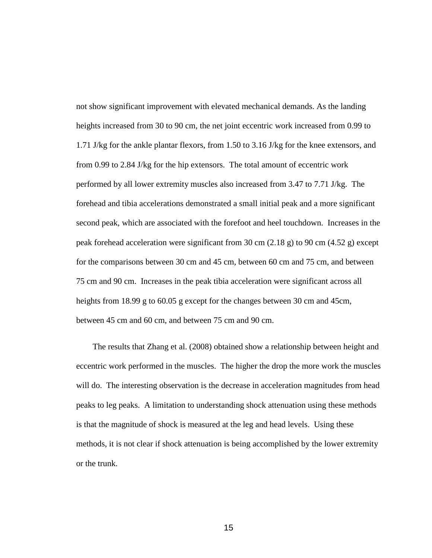not show significant improvement with elevated mechanical demands. As the landing heights increased from 30 to 90 cm, the net joint eccentric work increased from 0.99 to 1.71 J/kg for the ankle plantar flexors, from 1.50 to 3.16 J/kg for the knee extensors, and from 0.99 to 2.84 J/kg for the hip extensors. The total amount of eccentric work performed by all lower extremity muscles also increased from 3.47 to 7.71 J/kg. The forehead and tibia accelerations demonstrated a small initial peak and a more significant second peak, which are associated with the forefoot and heel touchdown. Increases in the peak forehead acceleration were significant from 30 cm (2.18 g) to 90 cm (4.52 g) except for the comparisons between 30 cm and 45 cm, between 60 cm and 75 cm, and between 75 cm and 90 cm. Increases in the peak tibia acceleration were significant across all heights from 18.99 g to 60.05 g except for the changes between 30 cm and 45cm, between 45 cm and 60 cm, and between 75 cm and 90 cm.

The results that Zhang et al. (2008) obtained show a relationship between height and eccentric work performed in the muscles. The higher the drop the more work the muscles will do. The interesting observation is the decrease in acceleration magnitudes from head peaks to leg peaks. A limitation to understanding shock attenuation using these methods is that the magnitude of shock is measured at the leg and head levels. Using these methods, it is not clear if shock attenuation is being accomplished by the lower extremity or the trunk.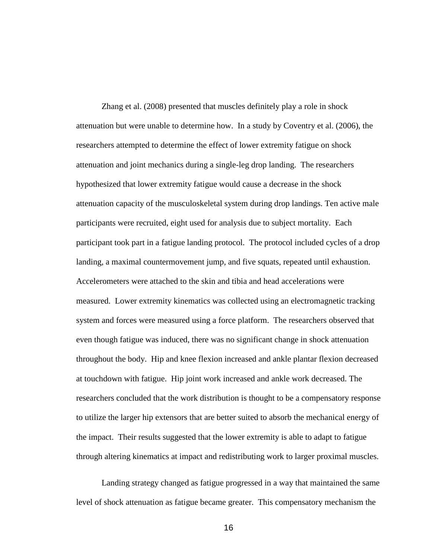Zhang et al. (2008) presented that muscles definitely play a role in shock attenuation but were unable to determine how. In a study by Coventry et al. (2006), the researchers attempted to determine the effect of lower extremity fatigue on shock attenuation and joint mechanics during a single-leg drop landing. The researchers hypothesized that lower extremity fatigue would cause a decrease in the shock attenuation capacity of the musculoskeletal system during drop landings. Ten active male participants were recruited, eight used for analysis due to subject mortality. Each participant took part in a fatigue landing protocol. The protocol included cycles of a drop landing, a maximal countermovement jump, and five squats, repeated until exhaustion. Accelerometers were attached to the skin and tibia and head accelerations were measured. Lower extremity kinematics was collected using an electromagnetic tracking system and forces were measured using a force platform. The researchers observed that even though fatigue was induced, there was no significant change in shock attenuation throughout the body. Hip and knee flexion increased and ankle plantar flexion decreased at touchdown with fatigue. Hip joint work increased and ankle work decreased. The researchers concluded that the work distribution is thought to be a compensatory response to utilize the larger hip extensors that are better suited to absorb the mechanical energy of the impact. Their results suggested that the lower extremity is able to adapt to fatigue through altering kinematics at impact and redistributing work to larger proximal muscles.

Landing strategy changed as fatigue progressed in a way that maintained the same level of shock attenuation as fatigue became greater. This compensatory mechanism the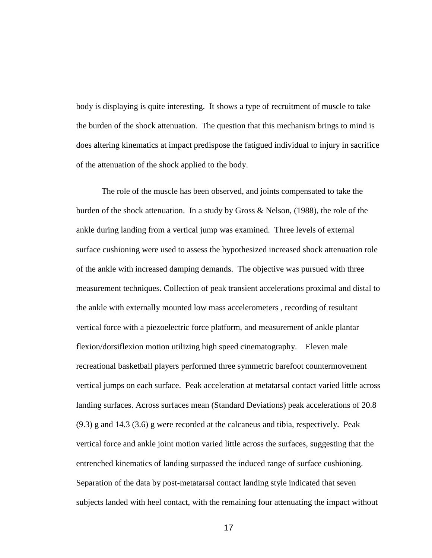body is displaying is quite interesting. It shows a type of recruitment of muscle to take the burden of the shock attenuation. The question that this mechanism brings to mind is does altering kinematics at impact predispose the fatigued individual to injury in sacrifice of the attenuation of the shock applied to the body.

The role of the muscle has been observed, and joints compensated to take the burden of the shock attenuation. In a study by Gross & Nelson, (1988), the role of the ankle during landing from a vertical jump was examined. Three levels of external surface cushioning were used to assess the hypothesized increased shock attenuation role of the ankle with increased damping demands. The objective was pursued with three measurement techniques. Collection of peak transient accelerations proximal and distal to the ankle with externally mounted low mass accelerometers , recording of resultant vertical force with a piezoelectric force platform, and measurement of ankle plantar flexion/dorsiflexion motion utilizing high speed cinematography. Eleven male recreational basketball players performed three symmetric barefoot countermovement vertical jumps on each surface. Peak acceleration at metatarsal contact varied little across landing surfaces. Across surfaces mean (Standard Deviations) peak accelerations of 20.8 (9.3) g and 14.3 (3.6) g were recorded at the calcaneus and tibia, respectively. Peak vertical force and ankle joint motion varied little across the surfaces, suggesting that the entrenched kinematics of landing surpassed the induced range of surface cushioning. Separation of the data by post-metatarsal contact landing style indicated that seven subjects landed with heel contact, with the remaining four attenuating the impact without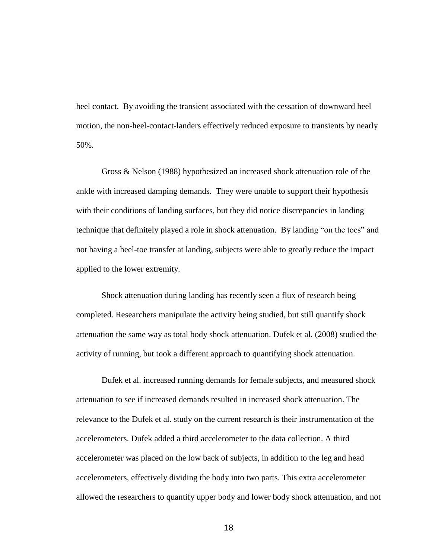heel contact. By avoiding the transient associated with the cessation of downward heel motion, the non-heel-contact-landers effectively reduced exposure to transients by nearly 50%.

Gross & Nelson (1988) hypothesized an increased shock attenuation role of the ankle with increased damping demands. They were unable to support their hypothesis with their conditions of landing surfaces, but they did notice discrepancies in landing technique that definitely played a role in shock attenuation. By landing "on the toes" and not having a heel-toe transfer at landing, subjects were able to greatly reduce the impact applied to the lower extremity.

Shock attenuation during landing has recently seen a flux of research being completed. Researchers manipulate the activity being studied, but still quantify shock attenuation the same way as total body shock attenuation. Dufek et al. (2008) studied the activity of running, but took a different approach to quantifying shock attenuation.

Dufek et al. increased running demands for female subjects, and measured shock attenuation to see if increased demands resulted in increased shock attenuation. The relevance to the Dufek et al. study on the current research is their instrumentation of the accelerometers. Dufek added a third accelerometer to the data collection. A third accelerometer was placed on the low back of subjects, in addition to the leg and head accelerometers, effectively dividing the body into two parts. This extra accelerometer allowed the researchers to quantify upper body and lower body shock attenuation, and not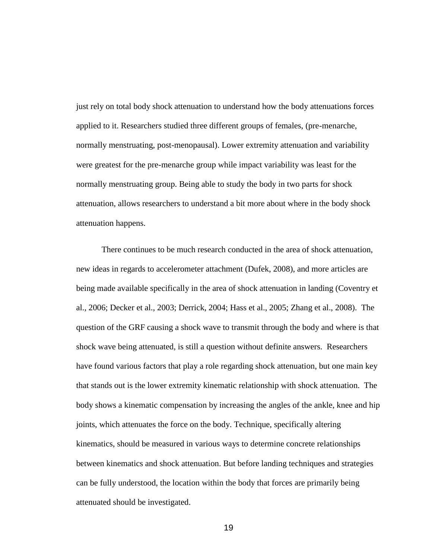just rely on total body shock attenuation to understand how the body attenuations forces applied to it. Researchers studied three different groups of females, (pre-menarche, normally menstruating, post-menopausal). Lower extremity attenuation and variability were greatest for the pre-menarche group while impact variability was least for the normally menstruating group. Being able to study the body in two parts for shock attenuation, allows researchers to understand a bit more about where in the body shock attenuation happens.

There continues to be much research conducted in the area of shock attenuation, new ideas in regards to accelerometer attachment (Dufek, 2008), and more articles are being made available specifically in the area of shock attenuation in landing (Coventry et al., 2006; Decker et al., 2003; Derrick, 2004; Hass et al., 2005; Zhang et al., 2008). The question of the GRF causing a shock wave to transmit through the body and where is that shock wave being attenuated, is still a question without definite answers. Researchers have found various factors that play a role regarding shock attenuation, but one main key that stands out is the lower extremity kinematic relationship with shock attenuation. The body shows a kinematic compensation by increasing the angles of the ankle, knee and hip joints, which attenuates the force on the body. Technique, specifically altering kinematics, should be measured in various ways to determine concrete relationships between kinematics and shock attenuation. But before landing techniques and strategies can be fully understood, the location within the body that forces are primarily being attenuated should be investigated.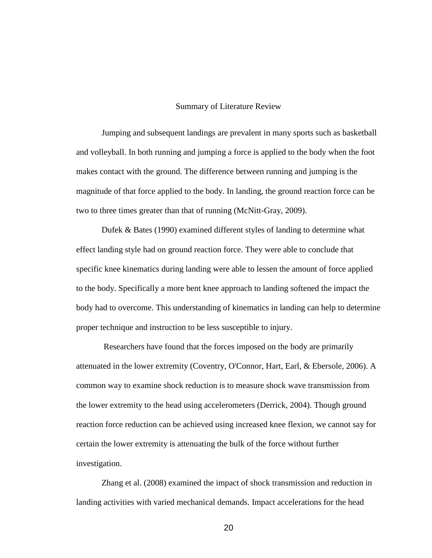#### Summary of Literature Review

Jumping and subsequent landings are prevalent in many sports such as basketball and volleyball. In both running and jumping a force is applied to the body when the foot makes contact with the ground. The difference between running and jumping is the magnitude of that force applied to the body. In landing, the ground reaction force can be two to three times greater than that of running (McNitt-Gray, 2009).

Dufek & Bates (1990) examined different styles of landing to determine what effect landing style had on ground reaction force. They were able to conclude that specific knee kinematics during landing were able to lessen the amount of force applied to the body. Specifically a more bent knee approach to landing softened the impact the body had to overcome. This understanding of kinematics in landing can help to determine proper technique and instruction to be less susceptible to injury.

Researchers have found that the forces imposed on the body are primarily attenuated in the lower extremity (Coventry, O'Connor, Hart, Earl, & Ebersole, 2006). A common way to examine shock reduction is to measure shock wave transmission from the lower extremity to the head using accelerometers (Derrick, 2004). Though ground reaction force reduction can be achieved using increased knee flexion, we cannot say for certain the lower extremity is attenuating the bulk of the force without further investigation.

Zhang et al. (2008) examined the impact of shock transmission and reduction in landing activities with varied mechanical demands. Impact accelerations for the head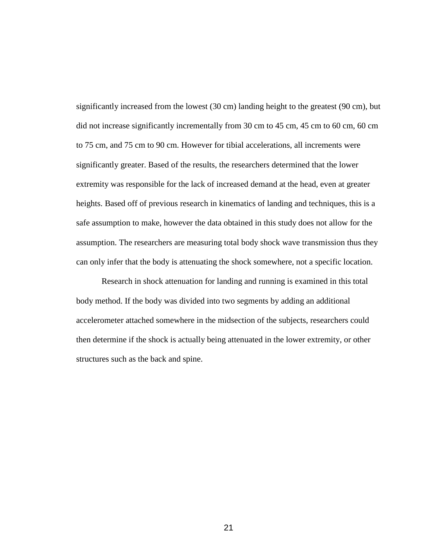significantly increased from the lowest (30 cm) landing height to the greatest (90 cm), but did not increase significantly incrementally from 30 cm to 45 cm, 45 cm to 60 cm, 60 cm to 75 cm, and 75 cm to 90 cm. However for tibial accelerations, all increments were significantly greater. Based of the results, the researchers determined that the lower extremity was responsible for the lack of increased demand at the head, even at greater heights. Based off of previous research in kinematics of landing and techniques, this is a safe assumption to make, however the data obtained in this study does not allow for the assumption. The researchers are measuring total body shock wave transmission thus they can only infer that the body is attenuating the shock somewhere, not a specific location.

Research in shock attenuation for landing and running is examined in this total body method. If the body was divided into two segments by adding an additional accelerometer attached somewhere in the midsection of the subjects, researchers could then determine if the shock is actually being attenuated in the lower extremity, or other structures such as the back and spine.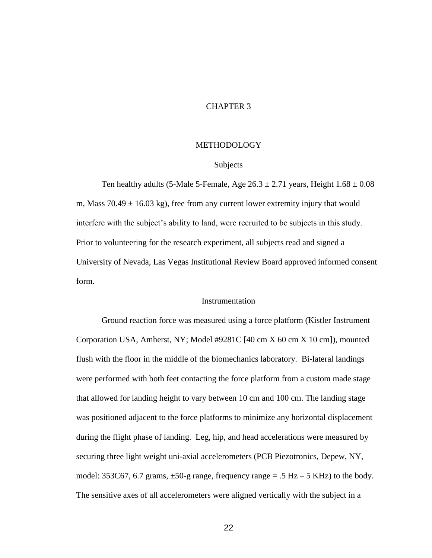#### CHAPTER 3

#### METHODOLOGY

#### Subjects

Ten healthy adults (5-Male 5-Female, Age  $26.3 \pm 2.71$  years, Height  $1.68 \pm 0.08$ m, Mass  $70.49 \pm 16.03$  kg), free from any current lower extremity injury that would interfere with the subject"s ability to land, were recruited to be subjects in this study. Prior to volunteering for the research experiment, all subjects read and signed a University of Nevada, Las Vegas Institutional Review Board approved informed consent form.

#### **Instrumentation**

Ground reaction force was measured using a force platform (Kistler Instrument Corporation USA, Amherst, NY; Model #9281C [40 cm X 60 cm X 10 cm]), mounted flush with the floor in the middle of the biomechanics laboratory. Bi-lateral landings were performed with both feet contacting the force platform from a custom made stage that allowed for landing height to vary between 10 cm and 100 cm. The landing stage was positioned adjacent to the force platforms to minimize any horizontal displacement during the flight phase of landing. Leg, hip, and head accelerations were measured by securing three light weight uni-axial accelerometers (PCB Piezotronics, Depew, NY, model:  $353C67$ ,  $6.7$  grams,  $\pm 50$ -g range, frequency range = .5 Hz – 5 KHz) to the body. The sensitive axes of all accelerometers were aligned vertically with the subject in a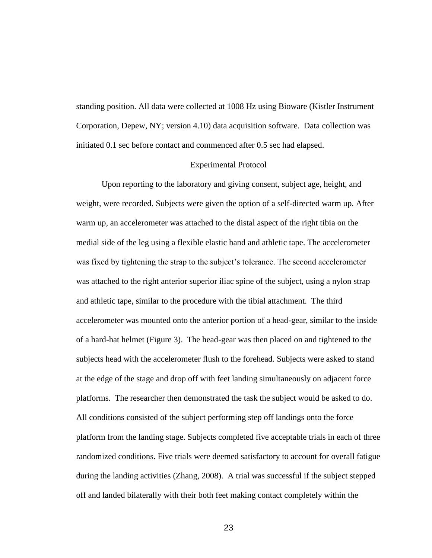standing position. All data were collected at 1008 Hz using Bioware (Kistler Instrument Corporation, Depew, NY; version 4.10) data acquisition software. Data collection was initiated 0.1 sec before contact and commenced after 0.5 sec had elapsed.

#### Experimental Protocol

Upon reporting to the laboratory and giving consent, subject age, height, and weight, were recorded. Subjects were given the option of a self-directed warm up. After warm up, an accelerometer was attached to the distal aspect of the right tibia on the medial side of the leg using a flexible elastic band and athletic tape. The accelerometer was fixed by tightening the strap to the subject"s tolerance. The second accelerometer was attached to the right anterior superior iliac spine of the subject, using a nylon strap and athletic tape, similar to the procedure with the tibial attachment. The third accelerometer was mounted onto the anterior portion of a head-gear, similar to the inside of a hard-hat helmet (Figure 3). The head-gear was then placed on and tightened to the subjects head with the accelerometer flush to the forehead. Subjects were asked to stand at the edge of the stage and drop off with feet landing simultaneously on adjacent force platforms. The researcher then demonstrated the task the subject would be asked to do. All conditions consisted of the subject performing step off landings onto the force platform from the landing stage. Subjects completed five acceptable trials in each of three randomized conditions. Five trials were deemed satisfactory to account for overall fatigue during the landing activities (Zhang, 2008). A trial was successful if the subject stepped off and landed bilaterally with their both feet making contact completely within the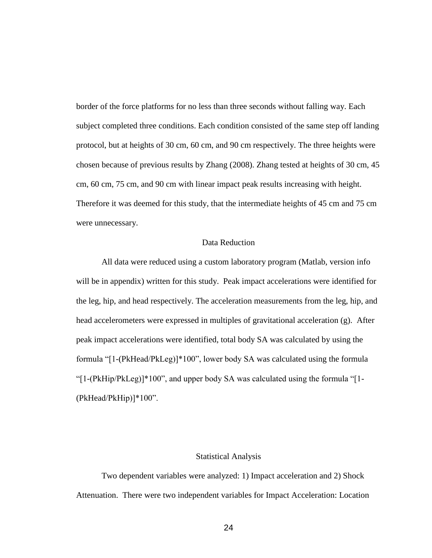border of the force platforms for no less than three seconds without falling way. Each subject completed three conditions. Each condition consisted of the same step off landing protocol, but at heights of 30 cm, 60 cm, and 90 cm respectively. The three heights were chosen because of previous results by Zhang (2008). Zhang tested at heights of 30 cm, 45 cm, 60 cm, 75 cm, and 90 cm with linear impact peak results increasing with height. Therefore it was deemed for this study, that the intermediate heights of 45 cm and 75 cm were unnecessary.

#### Data Reduction

All data were reduced using a custom laboratory program (Matlab, version info will be in appendix) written for this study. Peak impact accelerations were identified for the leg, hip, and head respectively. The acceleration measurements from the leg, hip, and head accelerometers were expressed in multiples of gravitational acceleration (g). After peak impact accelerations were identified, total body SA was calculated by using the formula "[1-(PkHead/PkLeg)]\*100", lower body SA was calculated using the formula "[1-(PkHip/PkLeg)]\*100", and upper body SA was calculated using the formula "[1- (PkHead/PkHip)]\*100".

#### Statistical Analysis

Two dependent variables were analyzed: 1) Impact acceleration and 2) Shock Attenuation. There were two independent variables for Impact Acceleration: Location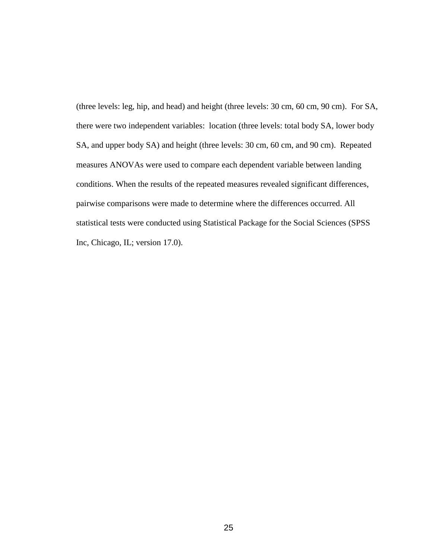(three levels: leg, hip, and head) and height (three levels: 30 cm, 60 cm, 90 cm). For SA, there were two independent variables: location (three levels: total body SA, lower body SA, and upper body SA) and height (three levels: 30 cm, 60 cm, and 90 cm). Repeated measures ANOVAs were used to compare each dependent variable between landing conditions. When the results of the repeated measures revealed significant differences, pairwise comparisons were made to determine where the differences occurred. All statistical tests were conducted using Statistical Package for the Social Sciences (SPSS Inc, Chicago, IL; version 17.0).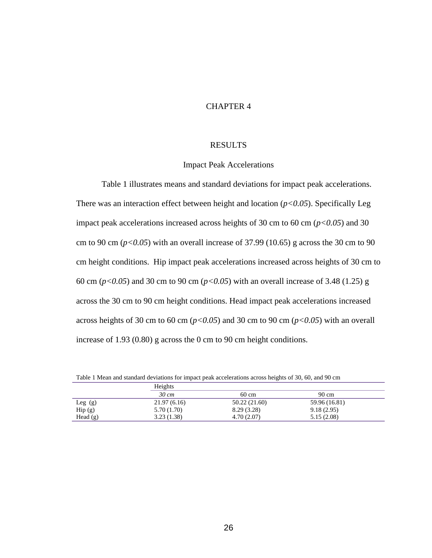#### CHAPTER 4

#### RESULTS

#### Impact Peak Accelerations

Table 1 illustrates means and standard deviations for impact peak accelerations. There was an interaction effect between height and location  $(p<0.05)$ . Specifically Leg impact peak accelerations increased across heights of 30 cm to 60 cm  $(p<0.05)$  and 30 cm to 90 cm  $(p<0.05)$  with an overall increase of 37.99 (10.65) g across the 30 cm to 90 cm height conditions. Hip impact peak accelerations increased across heights of 30 cm to 60 cm (*p<0.05*) and 30 cm to 90 cm (*p<0.05*) with an overall increase of 3.48 (1.25) g across the 30 cm to 90 cm height conditions. Head impact peak accelerations increased across heights of 30 cm to 60 cm ( $p$ <0.05) and 30 cm to 90 cm ( $p$ <0.05) with an overall increase of 1.93 (0.80) g across the 0 cm to 90 cm height conditions.

|                                   | Heights           |               |                 |
|-----------------------------------|-------------------|---------------|-----------------|
|                                   | $30 \, \text{cm}$ | 60 cm         | $90 \text{ cm}$ |
| Leg $(g)$                         | 21.97(6.16)       | 50.22 (21.60) | 59.96 (16.81)   |
| $\text{Hip}\left(\text{g}\right)$ | 5.70 (1.70)       | 8.29(3.28)    | 9.18(2.95)      |
| Head (g)                          | 3.23(1.38)        | 4.70(2.07)    | 5.15(2.08)      |

Table 1 Mean and standard deviations for impact peak accelerations across heights of 30, 60, and 90 cm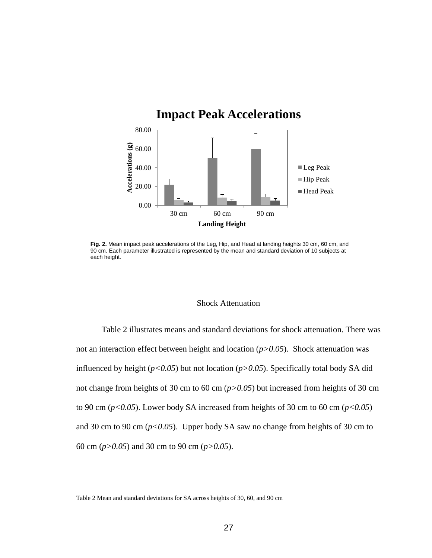## **Impact Peak Accelerations**



**Fig. 2.** Mean impact peak accelerations of the Leg, Hip, and Head at landing heights 30 cm, 60 cm, and 90 cm. Each parameter illustrated is represented by the mean and standard deviation of 10 subjects at each height.

#### Shock Attenuation

Table 2 illustrates means and standard deviations for shock attenuation. There was not an interaction effect between height and location (*p>0.05*). Shock attenuation was influenced by height (*p<0.05*) but not location (*p>0.05*). Specifically total body SA did not change from heights of 30 cm to 60 cm (*p>0.05*) but increased from heights of 30 cm to 90 cm ( $p < 0.05$ ). Lower body SA increased from heights of 30 cm to 60 cm ( $p < 0.05$ ) and 30 cm to 90 cm ( $p < 0.05$ ). Upper body SA saw no change from heights of 30 cm to 60 cm (*p>0.05*) and 30 cm to 90 cm (*p>0.05*).

Table 2 Mean and standard deviations for SA across heights of 30, 60, and 90 cm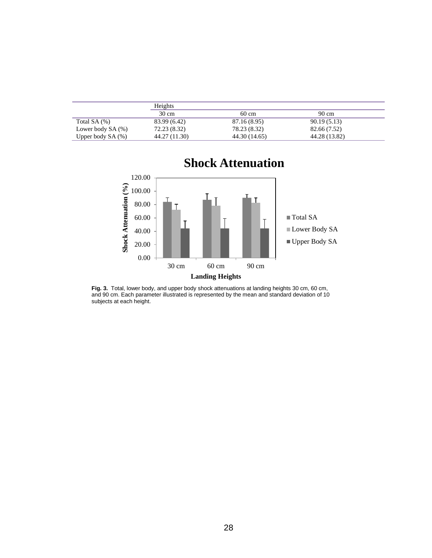|                     | Heights         |               |               |  |  |  |  |
|---------------------|-----------------|---------------|---------------|--|--|--|--|
|                     | $30 \text{ cm}$ | 60 cm         | 90 cm         |  |  |  |  |
| Total SA $(\%)$     | 83.99 (6.42)    | 87.16 (8.95)  | 90.19(5.13)   |  |  |  |  |
| Lower body $SA(\%)$ | 72.23 (8.32)    | 78.23 (8.32)  | 82.66 (7.52)  |  |  |  |  |
| Upper body $SA(\%)$ | 44.27 (11.30)   | 44.30 (14.65) | 44.28 (13.82) |  |  |  |  |



**Fig. 3.** Total, lower body, and upper body shock attenuations at landing heights 30 cm, 60 cm, and 90 cm. Each parameter illustrated is represented by the mean and standard deviation of 10 subjects at each height.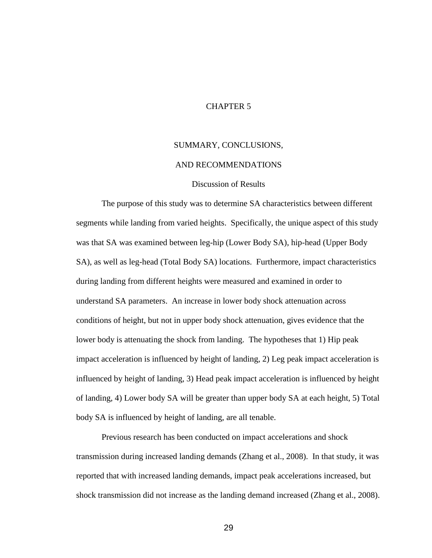#### CHAPTER 5

#### SUMMARY, CONCLUSIONS,

#### AND RECOMMENDATIONS

#### Discussion of Results

The purpose of this study was to determine SA characteristics between different segments while landing from varied heights. Specifically, the unique aspect of this study was that SA was examined between leg-hip (Lower Body SA), hip-head (Upper Body SA), as well as leg-head (Total Body SA) locations. Furthermore, impact characteristics during landing from different heights were measured and examined in order to understand SA parameters. An increase in lower body shock attenuation across conditions of height, but not in upper body shock attenuation, gives evidence that the lower body is attenuating the shock from landing. The hypotheses that 1) Hip peak impact acceleration is influenced by height of landing, 2) Leg peak impact acceleration is influenced by height of landing, 3) Head peak impact acceleration is influenced by height of landing, 4) Lower body SA will be greater than upper body SA at each height, 5) Total body SA is influenced by height of landing, are all tenable.

Previous research has been conducted on impact accelerations and shock transmission during increased landing demands (Zhang et al., 2008). In that study, it was reported that with increased landing demands, impact peak accelerations increased, but shock transmission did not increase as the landing demand increased (Zhang et al., 2008).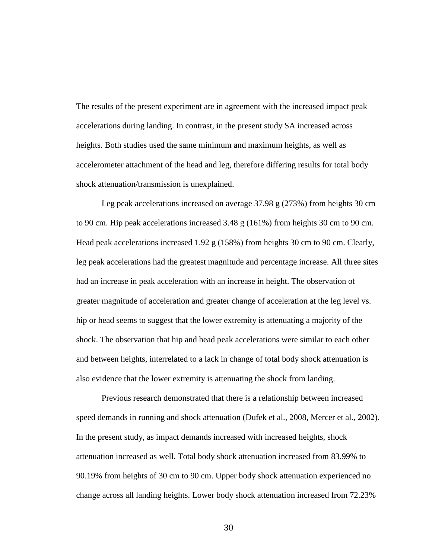The results of the present experiment are in agreement with the increased impact peak accelerations during landing. In contrast, in the present study SA increased across heights. Both studies used the same minimum and maximum heights, as well as accelerometer attachment of the head and leg, therefore differing results for total body shock attenuation/transmission is unexplained.

Leg peak accelerations increased on average 37.98 g (273%) from heights 30 cm to 90 cm. Hip peak accelerations increased  $3.48 \text{ g}$  (161%) from heights 30 cm to 90 cm. Head peak accelerations increased 1.92 g (158%) from heights 30 cm to 90 cm. Clearly, leg peak accelerations had the greatest magnitude and percentage increase. All three sites had an increase in peak acceleration with an increase in height. The observation of greater magnitude of acceleration and greater change of acceleration at the leg level vs. hip or head seems to suggest that the lower extremity is attenuating a majority of the shock. The observation that hip and head peak accelerations were similar to each other and between heights, interrelated to a lack in change of total body shock attenuation is also evidence that the lower extremity is attenuating the shock from landing.

Previous research demonstrated that there is a relationship between increased speed demands in running and shock attenuation (Dufek et al., 2008, Mercer et al., 2002). In the present study, as impact demands increased with increased heights, shock attenuation increased as well. Total body shock attenuation increased from 83.99% to 90.19% from heights of 30 cm to 90 cm. Upper body shock attenuation experienced no change across all landing heights. Lower body shock attenuation increased from 72.23%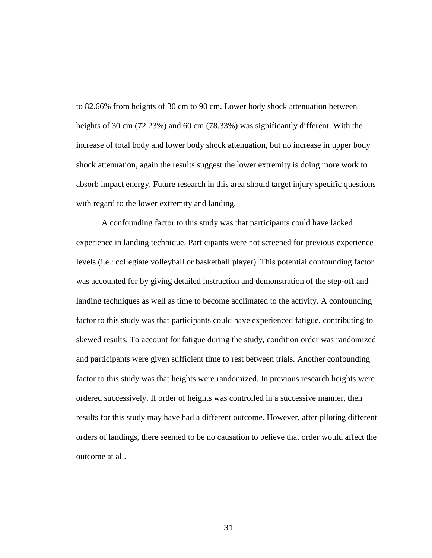to 82.66% from heights of 30 cm to 90 cm. Lower body shock attenuation between heights of 30 cm (72.23%) and 60 cm (78.33%) was significantly different. With the increase of total body and lower body shock attenuation, but no increase in upper body shock attenuation, again the results suggest the lower extremity is doing more work to absorb impact energy. Future research in this area should target injury specific questions with regard to the lower extremity and landing.

A confounding factor to this study was that participants could have lacked experience in landing technique. Participants were not screened for previous experience levels (i.e.: collegiate volleyball or basketball player). This potential confounding factor was accounted for by giving detailed instruction and demonstration of the step-off and landing techniques as well as time to become acclimated to the activity. A confounding factor to this study was that participants could have experienced fatigue, contributing to skewed results. To account for fatigue during the study, condition order was randomized and participants were given sufficient time to rest between trials. Another confounding factor to this study was that heights were randomized. In previous research heights were ordered successively. If order of heights was controlled in a successive manner, then results for this study may have had a different outcome. However, after piloting different orders of landings, there seemed to be no causation to believe that order would affect the outcome at all.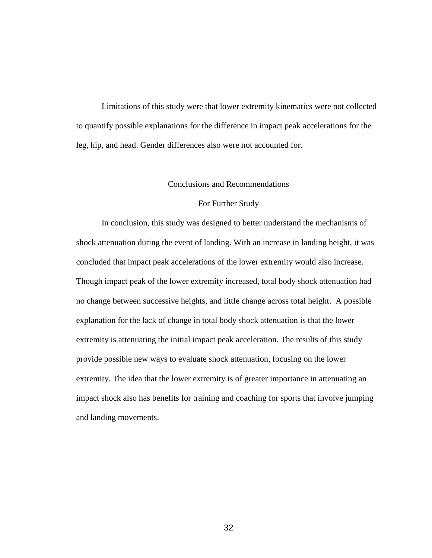Limitations of this study were that lower extremity kinematics were not collected to quantify possible explanations for the difference in impact peak accelerations for the leg, hip, and head. Gender differences also were not accounted for.

#### Conclusions and Recommendations

#### For Further Study

In conclusion, this study was designed to better understand the mechanisms of shock attenuation during the event of landing. With an increase in landing height, it was concluded that impact peak accelerations of the lower extremity would also increase. Though impact peak of the lower extremity increased, total body shock attenuation had no change between successive heights, and little change across total height. A possible explanation for the lack of change in total body shock attenuation is that the lower extremity is attenuating the initial impact peak acceleration. The results of this study provide possible new ways to evaluate shock attenuation, focusing on the lower extremity. The idea that the lower extremity is of greater importance in attenuating an impact shock also has benefits for training and coaching for sports that involve jumping and landing movements.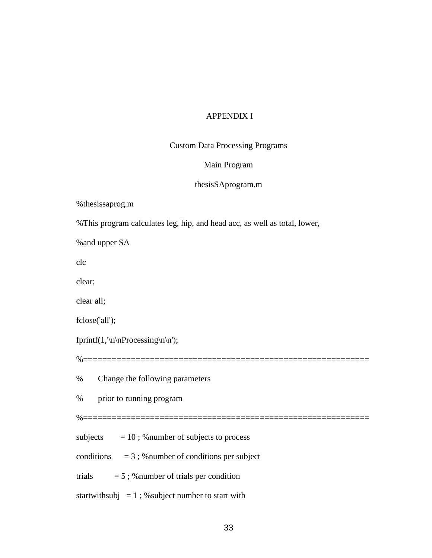#### APPENDIX I

#### Custom Data Processing Programs

#### Main Program

#### thesisSAprogram.m

#### %thesissaprog.m

%This program calculates leg, hip, and head acc, as well as total, lower,

%and upper SA

clc

clear;

clear all;

fclose('all');

fprintf(1,'\n\nProcessing\n\n');

%============================================================

% Change the following parameters

% prior to running program

%============================================================

subjects  $= 10$ ; % number of subjects to process

conditions  $= 3$ ; % number of conditions per subject

trials  $= 5$ ; % number of trials per condition

startwithsubj  $= 1$ ; % subject number to start with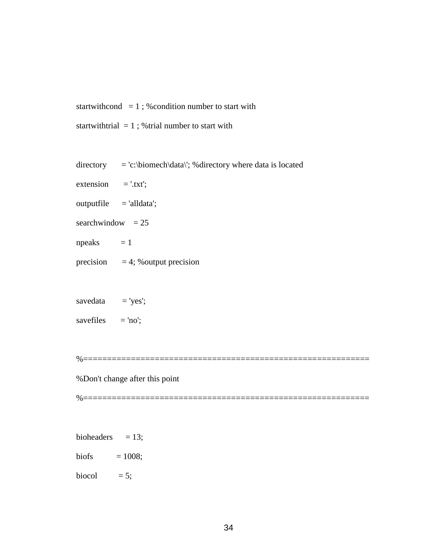startwithcond  $= 1$ ; % condition number to start with

startwithtrial  $= 1$ ; %trial number to start with

- directory = 'c:\biomech\data\'; %directory where data is located
- $extension = '.txt';$
- $outputfile = 'alldata';$
- searchwindow  $= 25$
- $npeaks = 1$
- precision  $= 4$ ; % output precision
- $savedata = 'yes';$
- savefiles  $= 'no';$

%============================================================

%Don't change after this point

bioheaders  $= 13$ ;

biofs  $= 1008$ ;

biocol  $= 5;$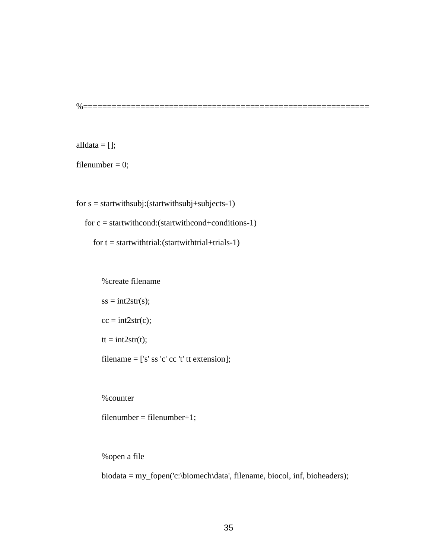%============================================================

$$
all data = [];
$$

filenumber  $= 0$ ;

for  $s =$  startwithsubj:(startwithsubj+subjects-1)

for  $c =$  startwithcond:(startwithcond+conditions-1)

for  $t =$  startwithtrial: (startwithtrial+trials-1)

 %create filename  $ss = int2str(s);$  $cc = int2str(c);$  $tt = int2str(t);$ filename  $=[s]$ 's s 'c' cc 't' tt extension];

%counter

 $filename = filename + 1;$ 

%open a file

biodata = my\_fopen('c:\biomech\data', filename, biocol, inf, bioheaders);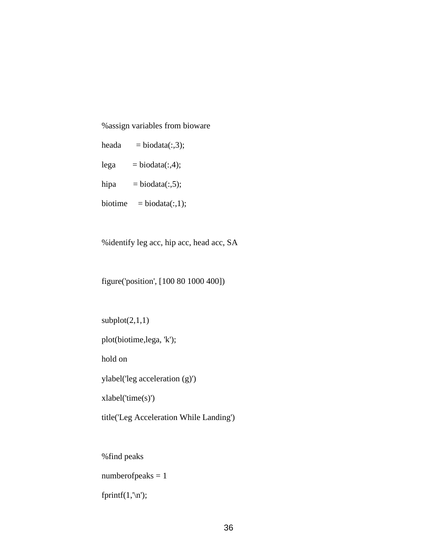%assign variables from bioware

heada  $=$  biodata(:,3); lega  $= \text{biodata}(:,4);$ hipa  $= \text{biodata}(:,5);$ biotime  $=$  biodata(:,1);

%identify leg acc, hip acc, head acc, SA

figure('position', [100 80 1000 400])

 $subplot(2,1,1)$ 

plot(biotime,lega, 'k');

hold on

ylabel('leg acceleration (g)')

xlabel('time(s)')

title('Leg Acceleration While Landing')

%find peaks

numberofpeaks = 1

fprintf $(1, \ln')$ ;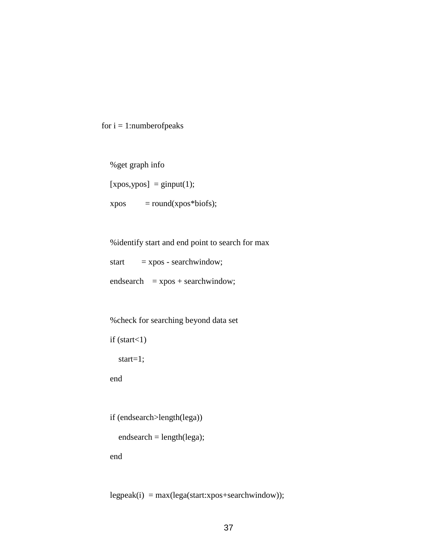for  $i = 1$ :numberofpeaks

%get graph info

 $[xpos, ypos] = ginput(1);$ 

 $xpos = round(xpos * bios);$ 

%identify start and end point to search for max

start =  $xpos - searchwindow;$ 

 $ends \text{each} = x \text{pos} + \text{searchwindow};$ 

%check for searching beyond data set

if  $(start<1)$ 

start=1;

end

```
 if (endsearch>length(lega))
```

```
 endsearch = length(lega);
```
end

```
 legpeak(i) = max(lega(start:xpos+searchwindow));
```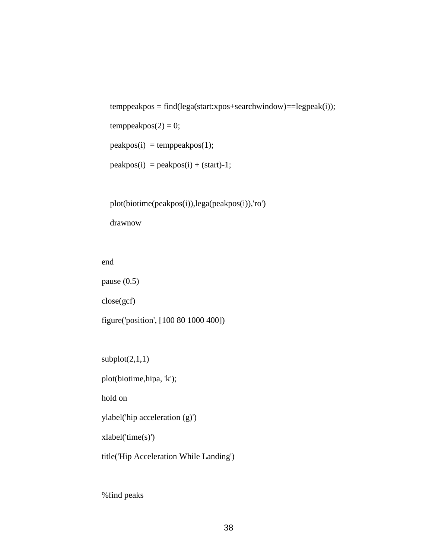```
temppeakpos = find(lega(start:xpos + searchwindow) = = legpeak(i));temppeakpos(2) = 0;
peakpos(i) = temppeakpos(1);peakpos(i) = peakpos(i) + (start)-1;
```
 plot(biotime(peakpos(i)),lega(peakpos(i)),'ro') drawnow

end

pause (0.5)

close(gcf)

figure('position', [100 80 1000 400])

 $subplot(2,1,1)$ 

plot(biotime,hipa, 'k');

hold on

ylabel('hip acceleration (g)')

xlabel('time(s)')

title('Hip Acceleration While Landing')

%find peaks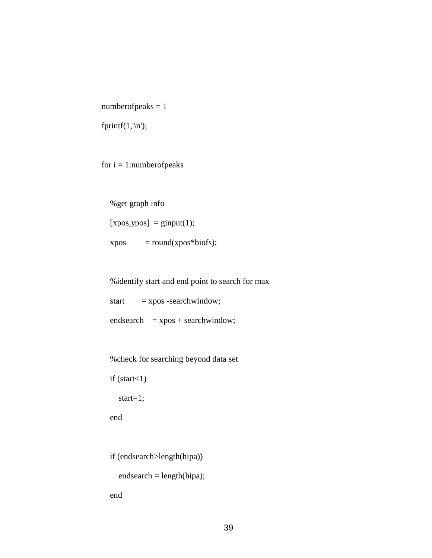numberofpeaks = 1

fprintf $(1, \ln')$ ;

for  $i = 1$ :numberofpeaks

 %get graph info  $[xpos, ypos] = ginput(1);$  $xpos = round(xpos * bios);$ 

%identify start and end point to search for max

start  $= xpos$  -searchwindow;

endsearch  $= xpos + searchwindow;$ 

%check for searching beyond data set

if  $(start<1)$ 

start=1;

end

if (endsearch>length(hipa))

 $ends \text{each} = \text{length}(\text{hipa});$ 

end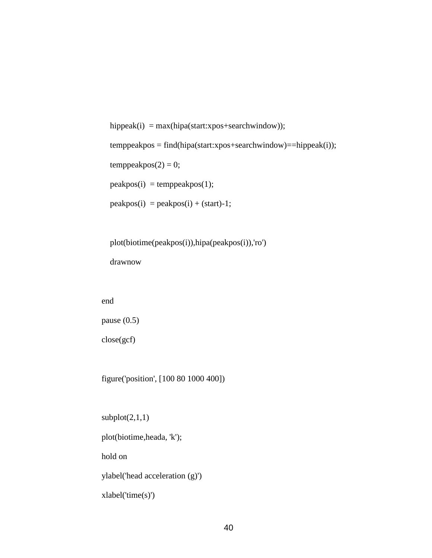```
hippeak(i) = max(hipa(start:xpos+searchwindow));
 temppeakpos = find(hipa(start:xpos+searchwindow)==hippeak(i));
temppeakpos(2) = 0;
peakpos(i) = temppeakpos(1);peakpos(i) = peakpos(i) + (start)-1;
```
 plot(biotime(peakpos(i)),hipa(peakpos(i)),'ro') drawnow

end

pause  $(0.5)$ 

close(gcf)

figure('position', [100 80 1000 400])

 $subplot(2,1,1)$ 

plot(biotime,heada, 'k');

hold on

ylabel('head acceleration (g)')

xlabel('time(s)')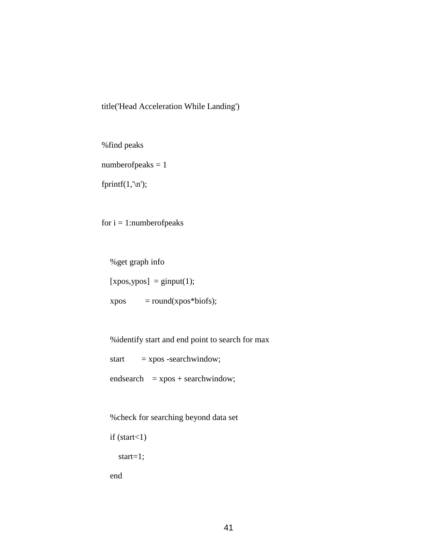title('Head Acceleration While Landing')

```
 %find peaks
```
numberofpeaks = 1

fprintf $(1, \ln')$ ;

for  $i = 1$ : number of peaks

%get graph info

 $[xpos, ypos] = ginput(1);$ 

 $xpos = round(xpos * bios);$ 

%identify start and end point to search for max

start  $= xpos$  -searchwindow;

 $ends \text{each} = x \text{pos} + \text{searchwindow};$ 

%check for searching beyond data set

if  $(\text{start} < 1)$ 

start=1;

end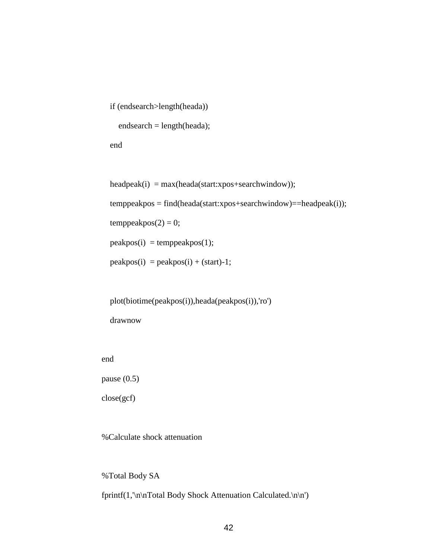if (endsearch>length(heada))

endsearch = length(heada);

end

 $headpeak(i) = max(head(start:xpos + searchwindow));$  $temppeakpos = find(heada(start:xpos+searchwindow) == headpeak(i));$ temppeakpos $(2) = 0$ ;  $peakpos(i) = temppeakpos(1);$  $peakpos(i) = peakpos(i) + (start)-1;$ 

 plot(biotime(peakpos(i)),heada(peakpos(i)),'ro') drawnow

end

pause (0.5)

close(gcf)

%Calculate shock attenuation

%Total Body SA

fprintf(1,'\n\nTotal Body Shock Attenuation Calculated.\n\n')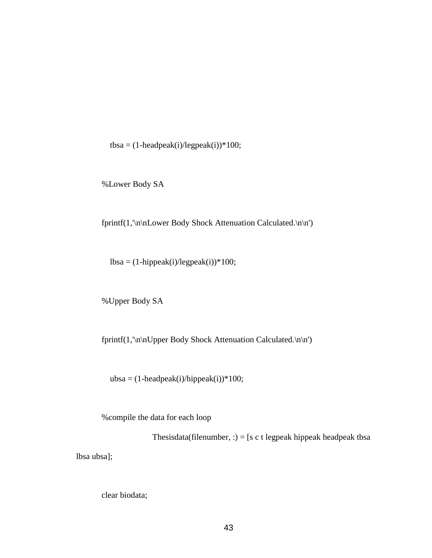$tbsa = (1 - headpeak(i)/legpeak(i)) * 100;$ 

%Lower Body SA

fprintf(1,'\n\nLower Body Shock Attenuation Calculated.\n\n')

 $lbsa = (1-hippeak(i)/legpeak(i))*100;$ 

%Upper Body SA

fprintf(1,'\n\nUpper Body Shock Attenuation Calculated.\n\n')

 $ubsa = (1 - headpeak(i)/hippeak(i)) * 100;$ 

%compile the data for each loop

Thesisdata(filenumber, :) = [s c t legpeak hippeak headpeak tbsa

lbsa ubsa];

clear biodata;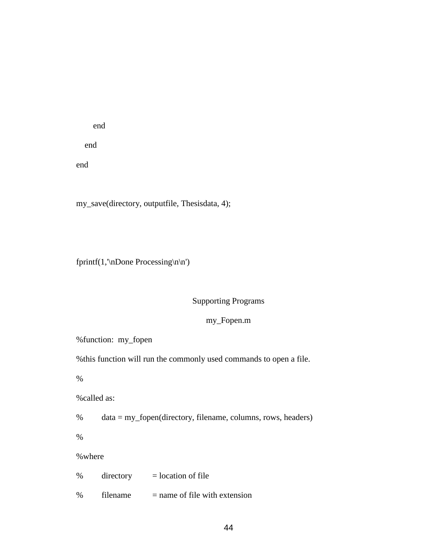end

end

end

my\_save(directory, outputfile, Thesisdata, 4);

fprintf(1,'\nDone Processing\n\n')

#### Supporting Programs

my\_Fopen.m

%function: my\_fopen

%this function will run the commonly used commands to open a file.

%

%called as:

% data = my\_fopen(directory, filename, columns, rows, headers)

%

#### %where

 $%$  directory = location of file

 $%$  filename = name of file with extension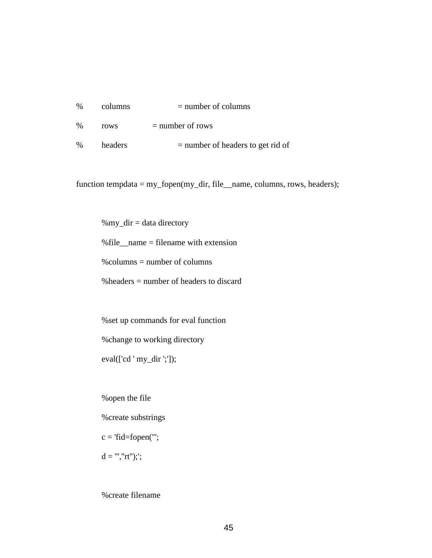| $\frac{0}{0}$ | columns | $=$ number of columns |
|---------------|---------|-----------------------|
|               |         |                       |

 $% \qquad \qquad \text{rows} \qquad \qquad = \text{number of rows}$ 

 $%$  headers = number of headers to get rid of

function tempdata = my\_fopen(my\_dir, file\_\_name, columns, rows, headers);

%my\_dir = data directory

%file\_\_name = filename with extension

 $%$  columns = number of columns

%headers = number of headers to discard

%set up commands for eval function

%change to working directory

eval(['cd ' my\_dir ';']);

%open the file

%create substrings

 $c = 'fid = fopen'$ :

 $d =$  "',"rt");';

%create filename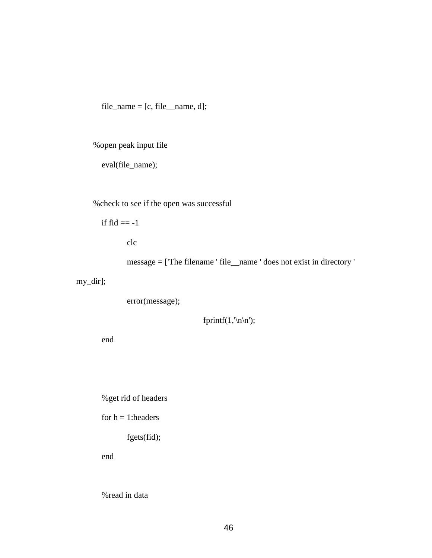file\_name =  $[c, file$ \_name, d];

%open peak input file

eval(file\_name);

%check to see if the open was successful

if  $fid == -1$ 

clc

message = ['The filename ' file\_\_name ' does not exist in directory '

my\_dir];

```
 error(message);
```
fprintf $(1, \ln\ln)$ ;

end

%get rid of headers

for  $h = 1$ : headers

fgets(fid);

end

%read in data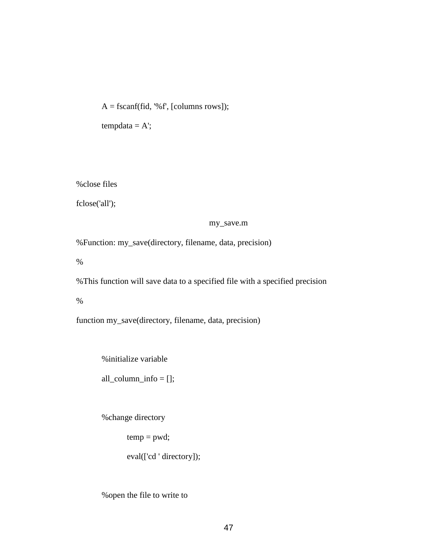$A = f<sup>3</sup>(fid, '%f', [columns rows]);$ 

 $tempdata = A';$ 

%close files

fclose('all');

#### my\_save.m

%Function: my\_save(directory, filename, data, precision)

%

%This function will save data to a specified file with a specified precision

%

function my\_save(directory, filename, data, precision)

%initialize variable

all\_column\_info = [];

%change directory

 $temp = pwd;$ 

eval(['cd ' directory]);

%open the file to write to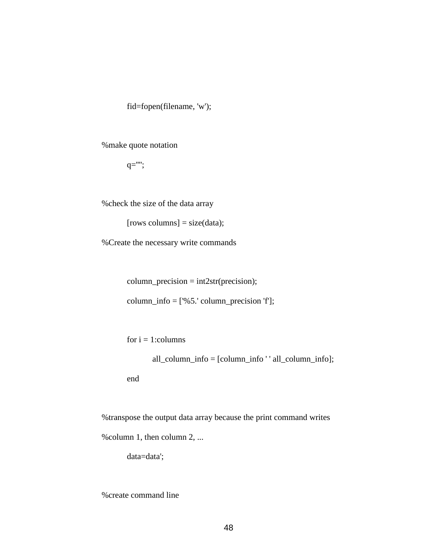fid=fopen(filename, 'w');

%make quote notation

q='''';

%check the size of the data array

 $[rows columns] = size(data);$ 

%Create the necessary write commands

 $column\_precision = int2str(precision);$ 

column\_info =  $['%5]'$ : column\_precision 'f'];

for  $i = 1$ : columns

all\_column\_info = [column\_info ' ' all\_column\_info]; end

%transpose the output data array because the print command writes %column 1, then column 2, ...

data=data';

%create command line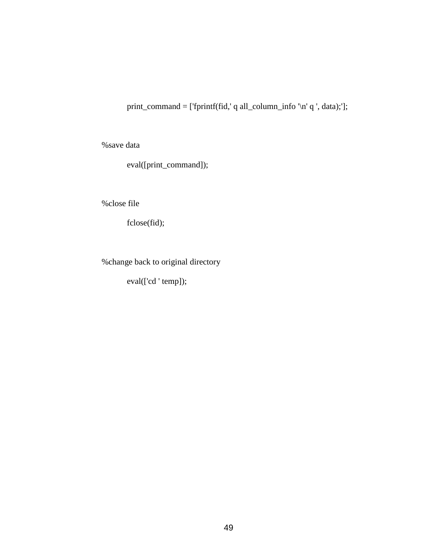print\_command = ['fprintf(fid,' q all\_column\_info '\n' q ', data);'];

%save data

eval([print\_command]);

%close file

fclose(fid);

%change back to original directory

eval(['cd ' temp]);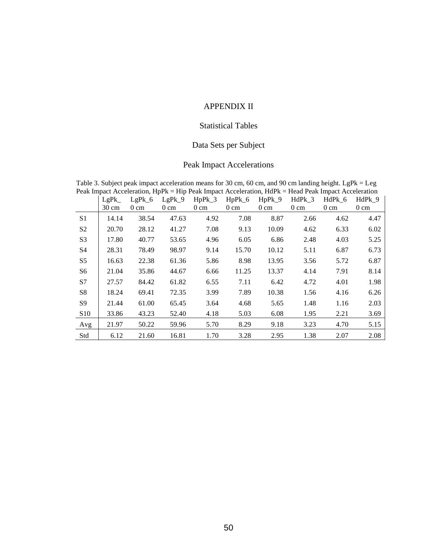## APPENDIX II

#### Statistical Tables

## Data Sets per Subject

## Peak Impact Accelerations

|                | Peak Impact Acceleration, HpPk = Hip Peak Impact Acceleration, HdPk = Head Peak Impact Acceleration |                |                |                |                |                |                |                |                |  |
|----------------|-----------------------------------------------------------------------------------------------------|----------------|----------------|----------------|----------------|----------------|----------------|----------------|----------------|--|
|                | LgPk                                                                                                | $LgPk_6$       | $LgPk_9$       | $HpPk_3$       | $HpPk_6$       | $HpPk_9$       | HdPk 3         | HdPk 6         | HdPk 9         |  |
|                | $30 \text{ cm}$                                                                                     | $0 \text{ cm}$ | $0 \text{ cm}$ | $0 \text{ cm}$ | $0 \text{ cm}$ | $0 \text{ cm}$ | $0 \text{ cm}$ | $0 \text{ cm}$ | $0 \text{ cm}$ |  |
| S <sub>1</sub> | 14.14                                                                                               | 38.54          | 47.63          | 4.92           | 7.08           | 8.87           | 2.66           | 4.62           | 4.47           |  |
| S <sub>2</sub> | 20.70                                                                                               | 28.12          | 41.27          | 7.08           | 9.13           | 10.09          | 4.62           | 6.33           | 6.02           |  |
| S <sub>3</sub> | 17.80                                                                                               | 40.77          | 53.65          | 4.96           | 6.05           | 6.86           | 2.48           | 4.03           | 5.25           |  |
| S <sub>4</sub> | 28.31                                                                                               | 78.49          | 98.97          | 9.14           | 15.70          | 10.12          | 5.11           | 6.87           | 6.73           |  |
| S5             | 16.63                                                                                               | 22.38          | 61.36          | 5.86           | 8.98           | 13.95          | 3.56           | 5.72           | 6.87           |  |
| S <sub>6</sub> | 21.04                                                                                               | 35.86          | 44.67          | 6.66           | 11.25          | 13.37          | 4.14           | 7.91           | 8.14           |  |
| S7             | 27.57                                                                                               | 84.42          | 61.82          | 6.55           | 7.11           | 6.42           | 4.72           | 4.01           | 1.98           |  |
| S <sub>8</sub> | 18.24                                                                                               | 69.41          | 72.35          | 3.99           | 7.89           | 10.38          | 1.56           | 4.16           | 6.26           |  |
| S <sub>9</sub> | 21.44                                                                                               | 61.00          | 65.45          | 3.64           | 4.68           | 5.65           | 1.48           | 1.16           | 2.03           |  |
| <b>S10</b>     | 33.86                                                                                               | 43.23          | 52.40          | 4.18           | 5.03           | 6.08           | 1.95           | 2.21           | 3.69           |  |
| Avg            | 21.97                                                                                               | 50.22          | 59.96          | 5.70           | 8.29           | 9.18           | 3.23           | 4.70           | 5.15           |  |
| Std            | 6.12                                                                                                | 21.60          | 16.81          | 1.70           | 3.28           | 2.95           | 1.38           | 2.07           | 2.08           |  |

Table 3. Subject peak impact acceleration means for 30 cm, 60 cm, and 90 cm landing height. LgPk = Leg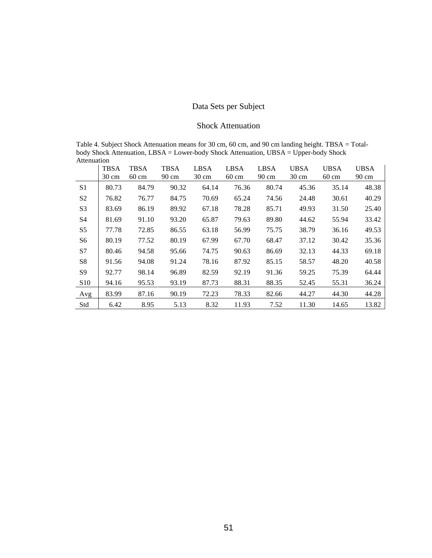## Data Sets per Subject

#### Shock Attenuation

Table 4. Subject Shock Attenuation means for 30 cm, 60 cm, and 90 cm landing height. TBSA = Totalbody Shock Attenuation, LBSA = Lower-body Shock Attenuation, UBSA = Upper-body Shock Attenuation

|                | <b>TBSA</b>     | <b>TBSA</b>     | <b>TBSA</b> | <b>LBSA</b> | <b>LBSA</b>     | <b>LBSA</b> | <b>UBSA</b>     | <b>UBSA</b>     | <b>UBSA</b> |
|----------------|-----------------|-----------------|-------------|-------------|-----------------|-------------|-----------------|-----------------|-------------|
|                | $30 \text{ cm}$ | $60 \text{ cm}$ | 90 cm       | 30 cm       | $60 \text{ cm}$ | 90 cm       | $30 \text{ cm}$ | $60 \text{ cm}$ | 90 cm       |
| S <sub>1</sub> | 80.73           | 84.79           | 90.32       | 64.14       | 76.36           | 80.74       | 45.36           | 35.14           | 48.38       |
| S <sub>2</sub> | 76.82           | 76.77           | 84.75       | 70.69       | 65.24           | 74.56       | 24.48           | 30.61           | 40.29       |
| S <sub>3</sub> | 83.69           | 86.19           | 89.92       | 67.18       | 78.28           | 85.71       | 49.93           | 31.50           | 25.40       |
| S <sub>4</sub> | 81.69           | 91.10           | 93.20       | 65.87       | 79.63           | 89.80       | 44.62           | 55.94           | 33.42       |
| S <sub>5</sub> | 77.78           | 72.85           | 86.55       | 63.18       | 56.99           | 75.75       | 38.79           | 36.16           | 49.53       |
| S <sub>6</sub> | 80.19           | 77.52           | 80.19       | 67.99       | 67.70           | 68.47       | 37.12           | 30.42           | 35.36       |
| S7             | 80.46           | 94.58           | 95.66       | 74.75       | 90.63           | 86.69       | 32.13           | 44.33           | 69.18       |
| S <sub>8</sub> | 91.56           | 94.08           | 91.24       | 78.16       | 87.92           | 85.15       | 58.57           | 48.20           | 40.58       |
| S <sub>9</sub> | 92.77           | 98.14           | 96.89       | 82.59       | 92.19           | 91.36       | 59.25           | 75.39           | 64.44       |
| <b>S10</b>     | 94.16           | 95.53           | 93.19       | 87.73       | 88.31           | 88.35       | 52.45           | 55.31           | 36.24       |
| Avg            | 83.99           | 87.16           | 90.19       | 72.23       | 78.33           | 82.66       | 44.27           | 44.30           | 44.28       |
| Std            | 6.42            | 8.95            | 5.13        | 8.32        | 11.93           | 7.52        | 11.30           | 14.65           | 13.82       |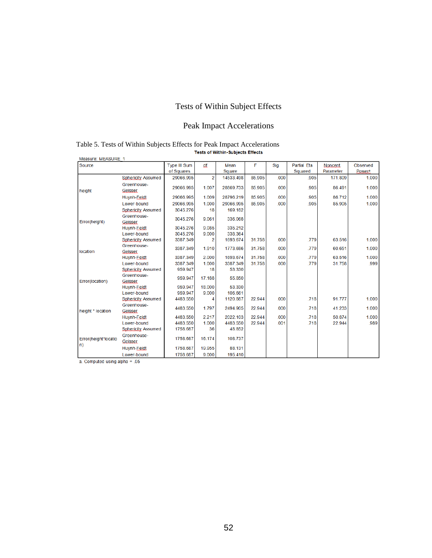## Tests of Within Subject Effects

## Peak Impact Accelerations

| <b>TESIS OF WILLIAM-SUDJECTS EFFECTS</b> |                               |                     |                |           |        |      |                    |           |                           |
|------------------------------------------|-------------------------------|---------------------|----------------|-----------|--------|------|--------------------|-----------|---------------------------|
| Measure: MEASURE 1                       |                               |                     |                |           |        |      |                    |           |                           |
| Source                                   |                               | <b>Type III Sum</b> | df             | Mean      | F      | Sig. | <b>Partial Eta</b> | Noncent.  | Observed                  |
|                                          |                               | of Squares          |                | Square    |        |      | Squared            | Parameter | <b>Power</b> <sup>a</sup> |
|                                          | <b>Sphericity Assumed</b>     | 29066.995           | $\overline{a}$ | 14533.498 | 85.905 | .000 | .905               | 171.809   | 1.000                     |
| height                                   | Greenhouse-<br>Geisser        | 29066.995           | 1.007          | 28869.733 | 85.905 | .000 | .905               | 86.491    | 1.000                     |
|                                          | Huynh-Feldt                   | 29066.995           | 1.009          | 28796.219 | 85.905 | .000 | .905               | 86.712    | 1.000                     |
|                                          | Lower-bound                   | 29066.995           | 1.000          | 29066.995 | 85.905 | .000 | .905               | 85.905    | 1.000                     |
|                                          | <b>Sphericity Assumed</b>     | 3045.276            | 18             | 169.182   |        |      |                    |           |                           |
| Error(height)                            | Greenhouse-<br><b>Geisser</b> | 3045.276            | 9.061          | 336.068   |        |      |                    |           |                           |
|                                          | Huynh-Feldt                   | 3045.276            | 9.085          | 335 212   |        |      |                    |           |                           |
|                                          | Lower-bound                   | 3045.276            | 9.000          | 338.364   |        |      |                    |           |                           |
|                                          | <b>Sphericity Assumed</b>     | 3387.349            | $\overline{2}$ | 1693.674  | 31.758 | .000 | .779               | 63.516    | 1.000                     |
| location                                 | Greenhouse-<br>Geisser        | 3387.349            | 1.910          | 1773.686  | 31.758 | .000 | .779               | 60.651    | 1.000                     |
|                                          | Huynh-Feldt                   | 3387.349            | 2.000          | 1693.674  | 31.758 | .000 | .779               | 63.516    | 1.000                     |
|                                          | Lower-bound                   | 3387.349            | 1.000          | 3387.349  | 31.758 | .000 | .779               | 31.758    | .999                      |
|                                          | <b>Sphericity Assumed</b>     | 959.947             | 18             | 53.330    |        |      |                    |           |                           |
| Error(location)                          | Greenhouse-<br>Geisser        | 959.947             | 17.188         | 55.850    |        |      |                    |           |                           |
|                                          | Huynh-Feldt                   | 959.947             | 18.000         | 53.330    |        |      |                    |           |                           |
|                                          | Lower-bound                   | 959.947             | 9.000          | 106.661   |        |      |                    |           |                           |
|                                          | <b>Sphericity Assumed</b>     | 4483.550            | 4              | 1120.887  | 22.944 | .000 | .718               | 91.777    | 1.000                     |
| height * location                        | Greenhouse-<br>Geisser        | 4483.550            | 1.797          | 2494.905  | 22.944 | .000 | .718               | 41.233    | 1.000                     |
|                                          | Huynh-Feldt                   | 4483.550            | 2.217          | 2022.103  | 22.944 | .000 | .718               | 50.874    | 1.000                     |
|                                          | Lower-bound                   | 4483.550            | 1.000          | 4483.550  | 22.944 | .001 | .718               | 22.944    | .989                      |
|                                          | <b>Sphericity Assumed</b>     | 1758.687            | 36             | 48.852    |        |      |                    |           |                           |
| Error(height*locatio                     | Greenhouse-<br>Geisser        | 1758.687            | 16.174         | 108.737   |        |      |                    |           |                           |
| $\vert n \rangle$                        | Huynh-Feldt                   | 1758.687            | 19.955         | 88.131    |        |      |                    |           |                           |
|                                          | Lower-bound                   | 1758.687            | 9.000          | 195.410   |        |      |                    |           |                           |

## Table 5. Tests of Within Subjects Effects for Peak Impact Accelerations

a. Computed using  $alpha = .05$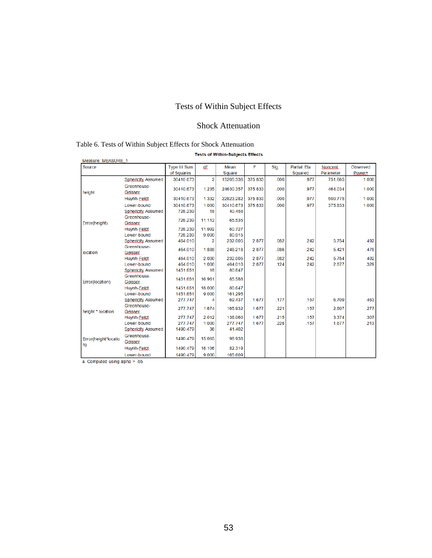## Tests of Within Subject Effects

#### Shock Attenuation

#### Table 6. Tests of Within Subject Effects for Shock Attenuation

**Tests of Within-Subjects Effects** 

| Measure: MEASURE 1   |                               |                     |                | <u>rests or within-auplects Ellects</u> |         |      |                    |           |                    |
|----------------------|-------------------------------|---------------------|----------------|-----------------------------------------|---------|------|--------------------|-----------|--------------------|
| Source               |                               | <b>Type III Sum</b> | df             | Mean                                    | F       | Sig. | <b>Partial Eta</b> | Noncent.  | Observed           |
|                      |                               | of Squares          |                | Square                                  |         |      | Squared            | Parameter | Power <sup>®</sup> |
|                      | <b>Sphericity Assumed</b>     | 30410.673           | $\overline{2}$ | 15205.336                               | 375.833 | .000 | .977               | 751.665   | 1.000              |
| height               | Greenhouse-<br><b>Geisser</b> | 30410.673           | 1.235          | 24630.357                               | 375.833 | .000 | .977               | 464.034   | 1.000              |
|                      | Huynh-Feldt                   | 30410.673           | 1.332          | 22823.282                               | 375.833 | .000 | .977               | 500.775   | 1.000              |
|                      | Lower-bound                   | 30410.673           | 1.000          | 30410.673                               | 375.833 | .000 | .977               | 375.833   | 1.000              |
|                      | <b>Sphericity Assumed</b>     | 728.239             | 18             | 40.458                                  |         |      |                    |           |                    |
| Error(height)        | Greenhouse-<br><b>Geisser</b> | 728.239             | 11.112         | 65.535                                  |         |      |                    |           |                    |
|                      | Huynh-Feldt                   | 728.239             | 11.992         | 60.727                                  |         |      |                    |           |                    |
|                      | Lower-bound                   | 728.239             | 9.000          | 80.915                                  |         |      |                    |           |                    |
|                      | <b>Sphericity Assumed</b>     | 464.010             | 2              | 232.005                                 | 2.877   | .082 | .242               | 5.754     | .492               |
| location             | Greenhouse-<br><b>Geisser</b> | 464.010             | 1.885          | 246.218                                 | 2.877   | .086 | .242               | 5.421     | .475               |
|                      | Huynh-Feldt                   | 464.010             | 2.000          | 232.005                                 | 2.877   | .082 | .242               | 5.754     | .492               |
|                      | Lower-bound                   | 464.010             | 1.000          | 464.010                                 | 2.877   | .124 | .242               | 2.877     | .329               |
|                      | <b>Sphericity Assumed</b>     | 1451.651            | 18             | 80.647                                  |         |      |                    |           |                    |
| Error(location)      | Greenhouse-<br><b>Geisser</b> | 1451.651            | 16.961         | 85.588                                  |         |      |                    |           |                    |
|                      | Huynh-Feldt                   | 1451.651            | 18.000         | 80.647                                  |         |      |                    |           |                    |
|                      | Lower-bound                   | 1451.651            | 9.000          | 161.295                                 |         |      |                    |           |                    |
|                      | <b>Sphericity Assumed</b>     | 277.747             | 4              | 69.437                                  | 1.677   | .177 | .157               | 6.709     | .463               |
| height * location    | Greenhouse-<br>Geisser        | 277.747             | 1.674          | 165.932                                 | 1.677   | .221 | .157               | 2.807     | .277               |
|                      | Huynh-Feldt                   | 277.747             | 2.012          | 138.060                                 | 1.677   | .215 | .157               | 3.374     | .307               |
|                      | Lower-bound                   | 277.747             | 1.000          | 277.747                                 | 1.677   | .228 | .157               | 1.677     | .213               |
| Error(height*locatio | <b>Sphericity Assumed</b>     | 1490.479            | 36             | 41.402                                  |         |      |                    |           |                    |
|                      | Greenhouse-<br>Geisser        | 1490.479            | 15.065         | 98.938                                  |         |      |                    |           |                    |
| $\vert n \rangle$    | Huynh-Feldt                   | 1490.479            | 18.106         | 82.319                                  |         |      |                    |           |                    |
|                      | Lower-bound                   | 1490.479            | 9.000          | 165,609                                 |         |      |                    |           |                    |

a. Computed using  $alpha = .05$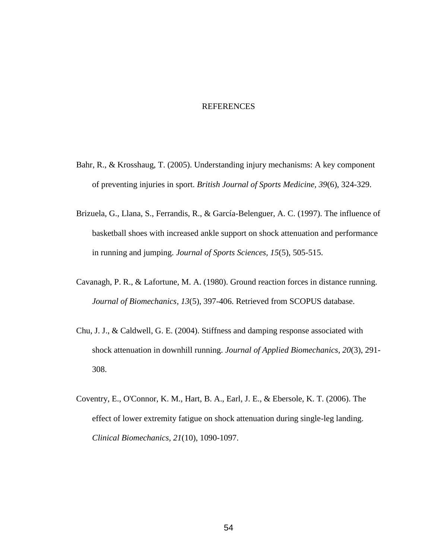#### REFERENCES

- Bahr, R., & Krosshaug, T. (2005). Understanding injury mechanisms: A key component of preventing injuries in sport. *British Journal of Sports Medicine, 39*(6), 324-329.
- Brizuela, G., Llana, S., Ferrandis, R., & García-Belenguer, A. C. (1997). The influence of basketball shoes with increased ankle support on shock attenuation and performance in running and jumping. *Journal of Sports Sciences, 15*(5), 505-515.
- Cavanagh, P. R., & Lafortune, M. A. (1980). Ground reaction forces in distance running. *Journal of Biomechanics, 13*(5), 397-406. Retrieved from SCOPUS database.
- Chu, J. J., & Caldwell, G. E. (2004). Stiffness and damping response associated with shock attenuation in downhill running. *Journal of Applied Biomechanics, 20*(3), 291- 308.
- Coventry, E., O'Connor, K. M., Hart, B. A., Earl, J. E., & Ebersole, K. T. (2006). The effect of lower extremity fatigue on shock attenuation during single-leg landing. *Clinical Biomechanics, 21*(10), 1090-1097.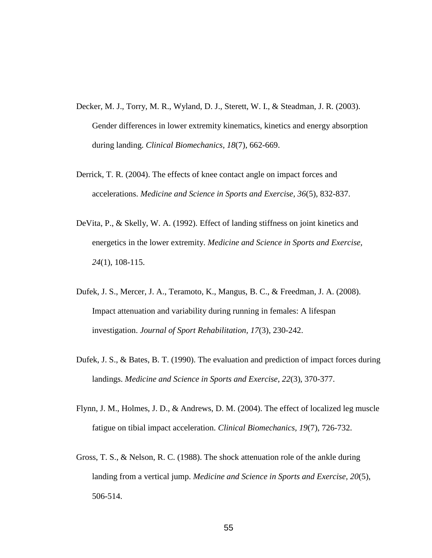- Decker, M. J., Torry, M. R., Wyland, D. J., Sterett, W. I., & Steadman, J. R. (2003). Gender differences in lower extremity kinematics, kinetics and energy absorption during landing. *Clinical Biomechanics, 18*(7), 662-669.
- Derrick, T. R. (2004). The effects of knee contact angle on impact forces and accelerations. *Medicine and Science in Sports and Exercise, 36*(5), 832-837.
- DeVita, P., & Skelly, W. A. (1992). Effect of landing stiffness on joint kinetics and energetics in the lower extremity. *Medicine and Science in Sports and Exercise, 24*(1), 108-115.
- Dufek, J. S., Mercer, J. A., Teramoto, K., Mangus, B. C., & Freedman, J. A. (2008). Impact attenuation and variability during running in females: A lifespan investigation. *Journal of Sport Rehabilitation, 17*(3), 230-242.
- Dufek, J. S., & Bates, B. T. (1990). The evaluation and prediction of impact forces during landings. *Medicine and Science in Sports and Exercise, 22*(3), 370-377.
- Flynn, J. M., Holmes, J. D., & Andrews, D. M. (2004). The effect of localized leg muscle fatigue on tibial impact acceleration. *Clinical Biomechanics, 19*(7), 726-732.
- Gross, T. S., & Nelson, R. C. (1988). The shock attenuation role of the ankle during landing from a vertical jump. *Medicine and Science in Sports and Exercise, 20*(5), 506-514.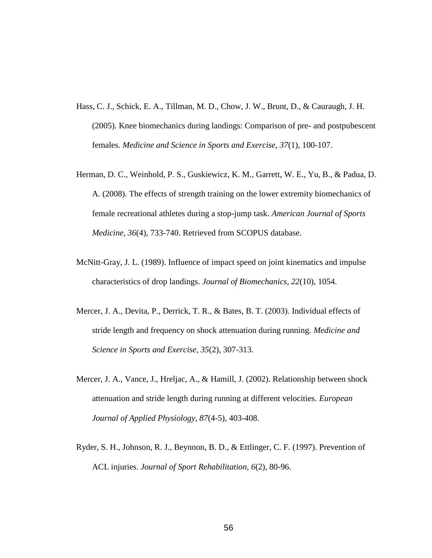- Hass, C. J., Schick, E. A., Tillman, M. D., Chow, J. W., Brunt, D., & Cauraugh, J. H. (2005). Knee biomechanics during landings: Comparison of pre- and postpubescent females. *Medicine and Science in Sports and Exercise, 37*(1), 100-107.
- Herman, D. C., Weinhold, P. S., Guskiewicz, K. M., Garrett, W. E., Yu, B., & Padua, D. A. (2008). The effects of strength training on the lower extremity biomechanics of female recreational athletes during a stop-jump task. *American Journal of Sports Medicine, 36*(4), 733-740. Retrieved from SCOPUS database.
- McNitt-Gray, J. L. (1989). Influence of impact speed on joint kinematics and impulse characteristics of drop landings. *Journal of Biomechanics, 22*(10), 1054.
- Mercer, J. A., Devita, P., Derrick, T. R., & Bates, B. T. (2003). Individual effects of stride length and frequency on shock attenuation during running. *Medicine and Science in Sports and Exercise, 35*(2), 307-313.
- Mercer, J. A., Vance, J., Hreljac, A., & Hamill, J. (2002). Relationship between shock attenuation and stride length during running at different velocities. *European Journal of Applied Physiology, 87*(4-5), 403-408.
- Ryder, S. H., Johnson, R. J., Beynnon, B. D., & Ettlinger, C. F. (1997). Prevention of ACL injuries. *Journal of Sport Rehabilitation, 6*(2), 80-96.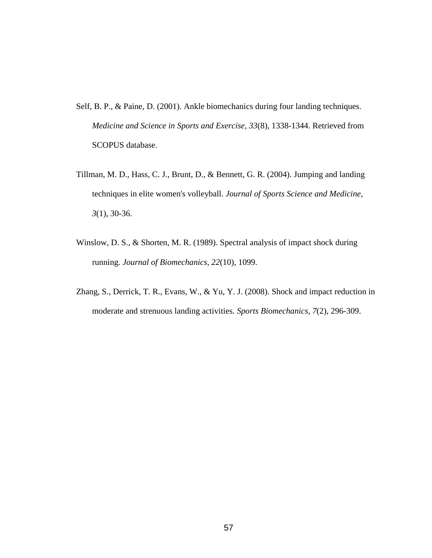- Self, B. P., & Paine, D. (2001). Ankle biomechanics during four landing techniques. *Medicine and Science in Sports and Exercise, 33*(8), 1338-1344. Retrieved from SCOPUS database.
- Tillman, M. D., Hass, C. J., Brunt, D., & Bennett, G. R. (2004). Jumping and landing techniques in elite women's volleyball. *Journal of Sports Science and Medicine, 3*(1), 30-36.
- Winslow, D. S., & Shorten, M. R. (1989). Spectral analysis of impact shock during running. *Journal of Biomechanics, 22*(10), 1099.
- Zhang, S., Derrick, T. R., Evans, W., & Yu, Y. J. (2008). Shock and impact reduction in moderate and strenuous landing activities. *Sports Biomechanics, 7*(2), 296-309.